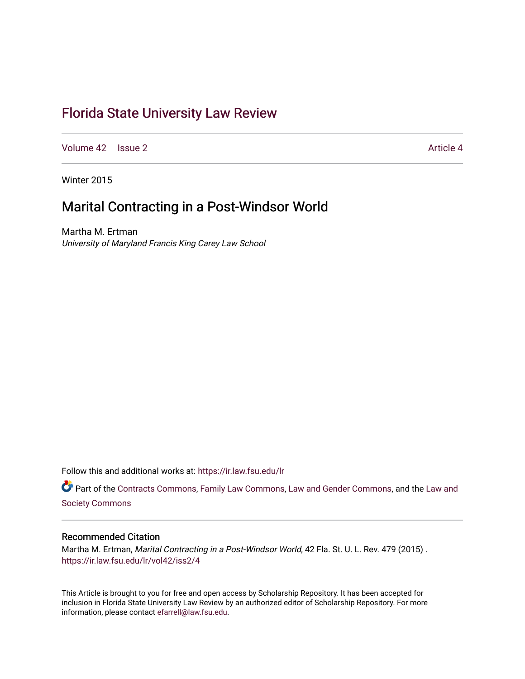# [Florida State University Law Review](https://ir.law.fsu.edu/lr)

[Volume 42](https://ir.law.fsu.edu/lr/vol42) | [Issue 2](https://ir.law.fsu.edu/lr/vol42/iss2) Article 4

Winter 2015

# Marital Contracting in a Post-Windsor World

Martha M. Ertman University of Maryland Francis King Carey Law School

Follow this and additional works at: [https://ir.law.fsu.edu/lr](https://ir.law.fsu.edu/lr?utm_source=ir.law.fsu.edu%2Flr%2Fvol42%2Fiss2%2F4&utm_medium=PDF&utm_campaign=PDFCoverPages) 

Part of the [Contracts Commons](https://network.bepress.com/hgg/discipline/591?utm_source=ir.law.fsu.edu%2Flr%2Fvol42%2Fiss2%2F4&utm_medium=PDF&utm_campaign=PDFCoverPages), [Family Law Commons](https://network.bepress.com/hgg/discipline/602?utm_source=ir.law.fsu.edu%2Flr%2Fvol42%2Fiss2%2F4&utm_medium=PDF&utm_campaign=PDFCoverPages), [Law and Gender Commons,](https://network.bepress.com/hgg/discipline/1298?utm_source=ir.law.fsu.edu%2Flr%2Fvol42%2Fiss2%2F4&utm_medium=PDF&utm_campaign=PDFCoverPages) and the [Law and](https://network.bepress.com/hgg/discipline/853?utm_source=ir.law.fsu.edu%2Flr%2Fvol42%2Fiss2%2F4&utm_medium=PDF&utm_campaign=PDFCoverPages) [Society Commons](https://network.bepress.com/hgg/discipline/853?utm_source=ir.law.fsu.edu%2Flr%2Fvol42%2Fiss2%2F4&utm_medium=PDF&utm_campaign=PDFCoverPages)

# Recommended Citation

Martha M. Ertman, Marital Contracting in a Post-Windsor World, 42 Fla. St. U. L. Rev. 479 (2015) . [https://ir.law.fsu.edu/lr/vol42/iss2/4](https://ir.law.fsu.edu/lr/vol42/iss2/4?utm_source=ir.law.fsu.edu%2Flr%2Fvol42%2Fiss2%2F4&utm_medium=PDF&utm_campaign=PDFCoverPages)

This Article is brought to you for free and open access by Scholarship Repository. It has been accepted for inclusion in Florida State University Law Review by an authorized editor of Scholarship Repository. For more information, please contact [efarrell@law.fsu.edu](mailto:efarrell@law.fsu.edu).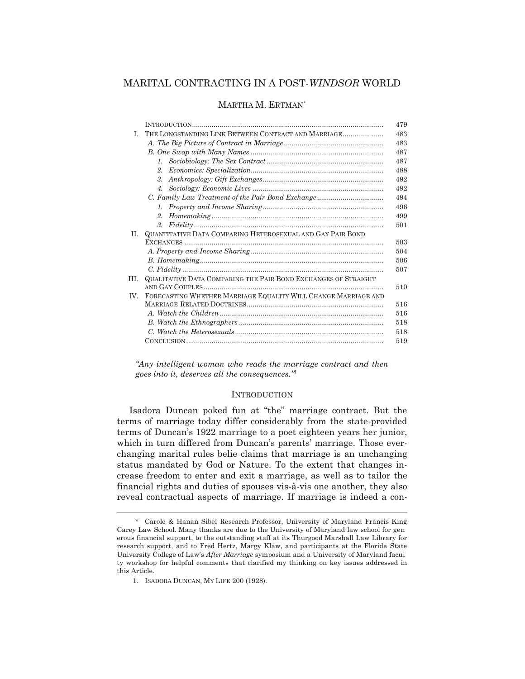# MARITAL CONTRACTING IN A POST-*WINDSOR* WORLD

#### MARTHA M. ERTMAN\*

|     |                                                                | 479 |
|-----|----------------------------------------------------------------|-----|
| L   | THE LONGSTANDING LINK BETWEEN CONTRACT AND MARRIAGE            | 483 |
|     |                                                                | 483 |
|     |                                                                | 487 |
|     | $\mathcal{I}$ .                                                | 487 |
|     | 2.                                                             | 488 |
|     | $\mathcal{R}^-$                                                | 492 |
|     | 4.                                                             | 492 |
|     |                                                                | 494 |
|     | $\mathcal{I}$ .                                                | 496 |
|     | $2^{\circ}$                                                    | 499 |
|     | $\mathcal{S}_{\cdot}$                                          | 501 |
| H.  | QUANTITATIVE DATA COMPARING HETEROSEXUAL AND GAY PAIR BOND     |     |
|     |                                                                | 503 |
|     |                                                                | 504 |
|     |                                                                | 506 |
|     |                                                                | 507 |
| HL. | QUALITATIVE DATA COMPARING THE PAIR BOND EXCHANGES OF STRAIGHT |     |
|     |                                                                | 510 |
| IV. | FORECASTING WHETHER MARRIAGE EQUALITY WILL CHANGE MARRIAGE AND |     |
|     |                                                                | 516 |
|     |                                                                | 516 |
|     |                                                                | 518 |
|     |                                                                | 518 |
|     |                                                                | 519 |
|     |                                                                |     |

*"Any intelligent woman who reads the marriage contract and then goes into it, deserves all the consequences."*<sup>1</sup>

#### **INTRODUCTION**

 Isadora Duncan poked fun at "the" marriage contract. But the terms of marriage today differ considerably from the state-provided terms of Duncan's 1922 marriage to a poet eighteen years her junior, which in turn differed from Duncan's parents' marriage. Those everchanging marital rules belie claims that marriage is an unchanging status mandated by God or Nature. To the extent that changes increase freedom to enter and exit a marriage, as well as to tailor the financial rights and duties of spouses vis-à-vis one another, they also reveal contractual aspects of marriage. If marriage is indeed a con-

 <sup>\*</sup> Carole & Hanan Sibel Research Professor, University of Maryland Francis King Carey Law School. Many thanks are due to the University of Maryland law school for gen erous financial support, to the outstanding staff at its Thurgood Marshall Law Library for research support, and to Fred Hertz, Margy Klaw, and participants at the Florida State University College of Law's *After Marriage* symposium and a University of Maryland facul ty workshop for helpful comments that clarified my thinking on key issues addressed in this Article.

 <sup>1.</sup> ISADORA DUNCAN, MY LIFE 200 (1928).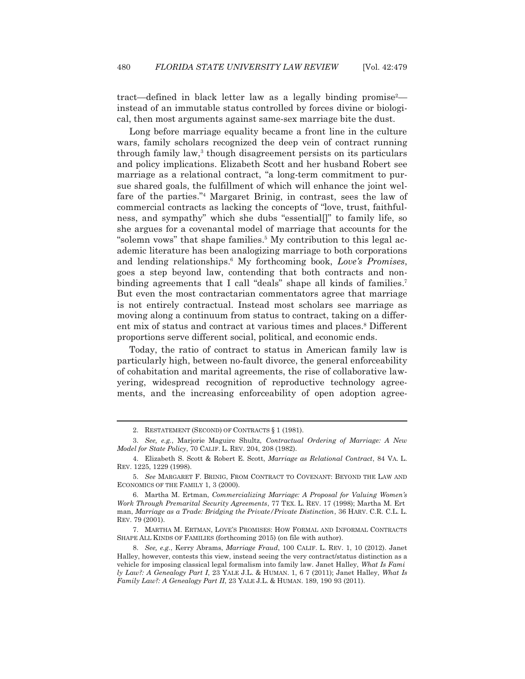tract—defined in black letter law as a legally binding promise<sup>2</sup> instead of an immutable status controlled by forces divine or biological, then most arguments against same-sex marriage bite the dust.

 Long before marriage equality became a front line in the culture wars, family scholars recognized the deep vein of contract running through family law,<sup>3</sup> though disagreement persists on its particulars and policy implications. Elizabeth Scott and her husband Robert see marriage as a relational contract, "a long-term commitment to pursue shared goals, the fulfillment of which will enhance the joint welfare of the parties."4 Margaret Brinig, in contrast, sees the law of commercial contracts as lacking the concepts of "love, trust, faithfulness, and sympathy" which she dubs "essential[]" to family life, so she argues for a covenantal model of marriage that accounts for the "solemn vows" that shape families.<sup>5</sup> My contribution to this legal academic literature has been analogizing marriage to both corporations and lending relationships.6 My forthcoming book, *Love's Promises*, goes a step beyond law, contending that both contracts and nonbinding agreements that I call "deals" shape all kinds of families.<sup>7</sup> But even the most contractarian commentators agree that marriage is not entirely contractual. Instead most scholars see marriage as moving along a continuum from status to contract, taking on a different mix of status and contract at various times and places.<sup>8</sup> Different proportions serve different social, political, and economic ends.

 Today, the ratio of contract to status in American family law is particularly high, between no-fault divorce, the general enforceability of cohabitation and marital agreements, the rise of collaborative lawyering, widespread recognition of reproductive technology agreements, and the increasing enforceability of open adoption agree-

 <sup>2.</sup> RESTATEMENT (SECOND) OF CONTRACTS § 1 (1981).

 <sup>3.</sup> *See, e.g.*, Marjorie Maguire Shultz, *Contractual Ordering of Marriage: A New Model for State Policy*, 70 CALIF. L. REV. 204, 208 (1982).

 <sup>4.</sup> Elizabeth S. Scott & Robert E. Scott, *Marriage as Relational Contract*, 84 VA. L. REV. 1225, 1229 (1998).

 <sup>5.</sup> *See* MARGARET F. BRINIG, FROM CONTRACT TO COVENANT: BEYOND THE LAW AND ECONOMICS OF THE FAMILY 1, 3 (2000).

 <sup>6.</sup> Martha M. Ertman, *Commercializing Marriage: A Proposal for Valuing Women's Work Through Premarital Security Agreements*, 77 TEX. L. REV. 17 (1998); Martha M. Ert man, *Marriage as a Trade: Bridging the Private/Private Distinction*, 36 HARV. C.R. C.L. L. REV. 79 (2001).

 <sup>7.</sup> MARTHA M. ERTMAN, LOVE'S PROMISES: HOW FORMAL AND INFORMAL CONTRACTS SHAPE ALL KINDS OF FAMILIES (forthcoming 2015) (on file with author).

 <sup>8.</sup> *See, e.g.*, Kerry Abrams, *Marriage Fraud*, 100 CALIF. L. REV. 1, 10 (2012). Janet Halley, however, contests this view, instead seeing the very contract/status distinction as a vehicle for imposing classical legal formalism into family law. Janet Halley, *What Is Fami ly Law?: A Genealogy Part I*, 23 YALE J.L. & HUMAN. 1, 6 7 (2011); Janet Halley, *What Is Family Law?: A Genealogy Part II*, 23 YALE J.L. & HUMAN. 189, 190 93 (2011).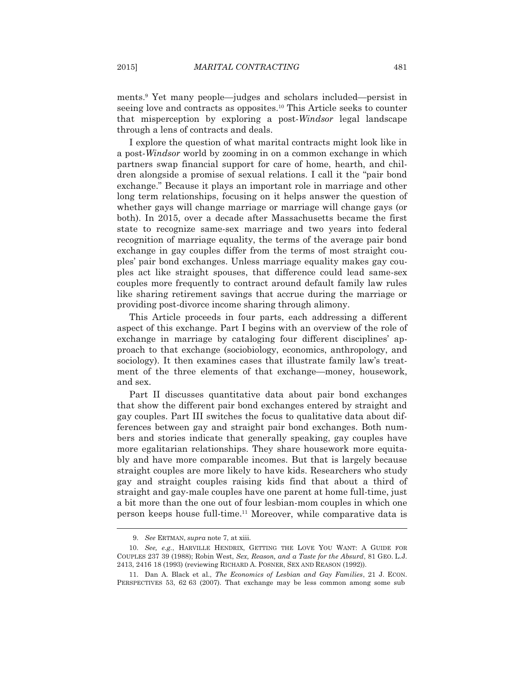ments.9 Yet many people—judges and scholars included—persist in seeing love and contracts as opposites.10 This Article seeks to counter that misperception by exploring a post-*Windsor* legal landscape through a lens of contracts and deals.

 I explore the question of what marital contracts might look like in a post-*Windsor* world by zooming in on a common exchange in which partners swap financial support for care of home, hearth, and children alongside a promise of sexual relations. I call it the "pair bond exchange." Because it plays an important role in marriage and other long term relationships, focusing on it helps answer the question of whether gays will change marriage or marriage will change gays (or both). In 2015, over a decade after Massachusetts became the first state to recognize same-sex marriage and two years into federal recognition of marriage equality, the terms of the average pair bond exchange in gay couples differ from the terms of most straight couples' pair bond exchanges. Unless marriage equality makes gay couples act like straight spouses, that difference could lead same-sex couples more frequently to contract around default family law rules like sharing retirement savings that accrue during the marriage or providing post-divorce income sharing through alimony.

 This Article proceeds in four parts, each addressing a different aspect of this exchange. Part I begins with an overview of the role of exchange in marriage by cataloging four different disciplines' approach to that exchange (sociobiology, economics, anthropology, and sociology). It then examines cases that illustrate family law's treatment of the three elements of that exchange—money, housework, and sex.

 Part II discusses quantitative data about pair bond exchanges that show the different pair bond exchanges entered by straight and gay couples. Part III switches the focus to qualitative data about differences between gay and straight pair bond exchanges. Both numbers and stories indicate that generally speaking, gay couples have more egalitarian relationships. They share housework more equitably and have more comparable incomes. But that is largely because straight couples are more likely to have kids. Researchers who study gay and straight couples raising kids find that about a third of straight and gay-male couples have one parent at home full-time, just a bit more than the one out of four lesbian-mom couples in which one person keeps house full-time.11 Moreover, while comparative data is

 <sup>9.</sup> *See* ERTMAN, *supra* note 7, at xiii.

<sup>10.</sup> *See, e.g.*, HARVILLE HENDRIX, GETTING THE LOVE YOU WANT: A GUIDE FOR COUPLES 237 39 (1988); Robin West, *Sex, Reason, and a Taste for the Absurd*, 81 GEO. L.J. 2413, 2416 18 (1993) (reviewing RICHARD A. POSNER, SEX AND REASON (1992)).

 <sup>11.</sup> Dan A. Black et al., *The Economics of Lesbian and Gay Families*, 21 J. ECON. PERSPECTIVES 53, 62 63 (2007). That exchange may be less common among some sub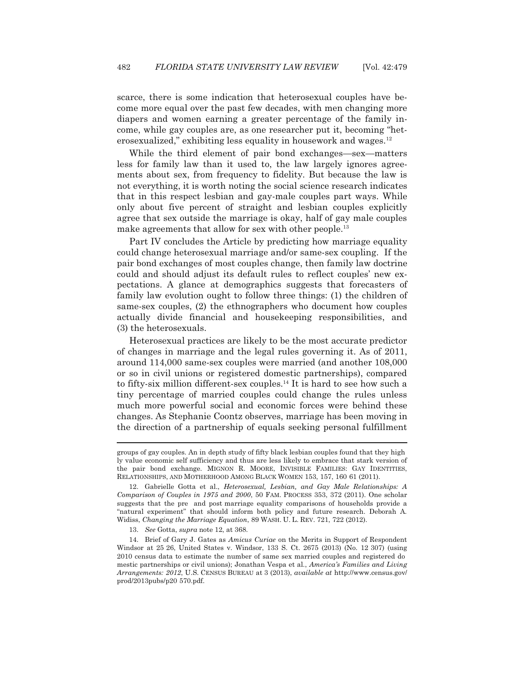scarce, there is some indication that heterosexual couples have become more equal over the past few decades, with men changing more diapers and women earning a greater percentage of the family income, while gay couples are, as one researcher put it, becoming "heterosexualized," exhibiting less equality in housework and wages.12

 While the third element of pair bond exchanges—sex—matters less for family law than it used to, the law largely ignores agreements about sex, from frequency to fidelity. But because the law is not everything, it is worth noting the social science research indicates that in this respect lesbian and gay-male couples part ways. While only about five percent of straight and lesbian couples explicitly agree that sex outside the marriage is okay, half of gay male couples make agreements that allow for sex with other people.<sup>13</sup>

 Part IV concludes the Article by predicting how marriage equality could change heterosexual marriage and/or same-sex coupling. If the pair bond exchanges of most couples change, then family law doctrine could and should adjust its default rules to reflect couples' new expectations. A glance at demographics suggests that forecasters of family law evolution ought to follow three things: (1) the children of same-sex couples, (2) the ethnographers who document how couples actually divide financial and housekeeping responsibilities, and (3) the heterosexuals.

 Heterosexual practices are likely to be the most accurate predictor of changes in marriage and the legal rules governing it. As of 2011, around 114,000 same-sex couples were married (and another 108,000 or so in civil unions or registered domestic partnerships), compared to fifty-six million different-sex couples.<sup>14</sup> It is hard to see how such a tiny percentage of married couples could change the rules unless much more powerful social and economic forces were behind these changes. As Stephanie Coontz observes, marriage has been moving in the direction of a partnership of equals seeking personal fulfillment

groups of gay couples. An in depth study of fifty black lesbian couples found that they high ly value economic self sufficiency and thus are less likely to embrace that stark version of the pair bond exchange. MIGNON R. MOORE, INVISIBLE FAMILIES: GAY IDENTITIES, RELATIONSHIPS, AND MOTHERHOOD AMONG BLACK WOMEN 153, 157, 160 61 (2011).

 <sup>12.</sup> Gabrielle Gotta et al., *Heterosexual, Lesbian, and Gay Male Relationships: A Comparison of Couples in 1975 and 2000*, 50 FAM. PROCESS 353, 372 (2011). One scholar suggests that the pre and post marriage equality comparisons of households provide a "natural experiment" that should inform both policy and future research. Deborah A. Widiss, *Changing the Marriage Equation*, 89 WASH. U. L. REV. 721, 722 (2012).

 <sup>13.</sup> *See* Gotta, *supra* note 12, at 368.

 <sup>14.</sup> Brief of Gary J. Gates as *Amicus Curiae* on the Merits in Support of Respondent Windsor at 25 26, United States v. Windsor, 133 S. Ct. 2675 (2013) (No. 12 307) (using 2010 census data to estimate the number of same sex married couples and registered do mestic partnerships or civil unions); Jonathan Vespa et al., *America's Families and Living Arrangements: 2012*, U.S. CENSUS BUREAU at 3 (2013), *available at* http://www.census.gov/ prod/2013pubs/p20 570.pdf.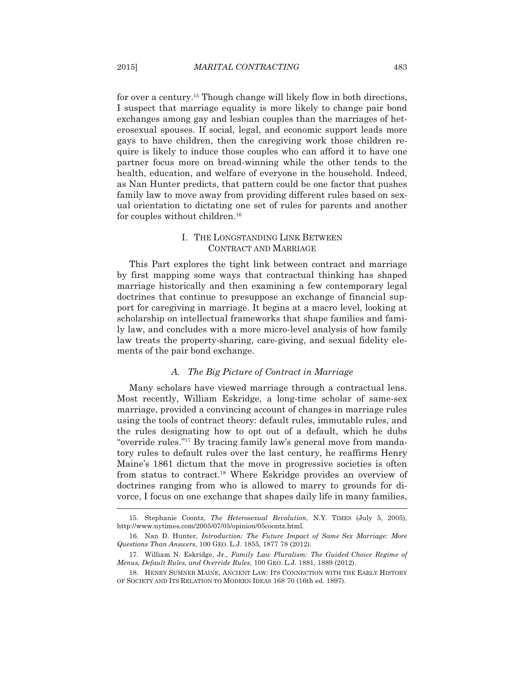for over a century.15 Though change will likely flow in both directions, I suspect that marriage equality is more likely to change pair bond exchanges among gay and lesbian couples than the marriages of heterosexual spouses. If social, legal, and economic support leads more gays to have children, then the caregiving work those children require is likely to induce those couples who can afford it to have one partner focus more on bread-winning while the other tends to the health, education, and welfare of everyone in the household. Indeed, as Nan Hunter predicts, that pattern could be one factor that pushes family law to move away from providing different rules based on sexual orientation to dictating one set of rules for parents and another for couples without children.<sup>16</sup>

# I. THE LONGSTANDING LINK BETWEEN CONTRACT AND MARRIAGE

 This Part explores the tight link between contract and marriage by first mapping some ways that contractual thinking has shaped marriage historically and then examining a few contemporary legal doctrines that continue to presuppose an exchange of financial support for caregiving in marriage. It begins at a macro level, looking at scholarship on intellectual frameworks that shape families and family law, and concludes with a more micro-level analysis of how family law treats the property-sharing, care-giving, and sexual fidelity elements of the pair bond exchange.

## *A. The Big Picture of Contract in Marriage*

 Many scholars have viewed marriage through a contractual lens. Most recently, William Eskridge, a long-time scholar of same-sex marriage, provided a convincing account of changes in marriage rules using the tools of contract theory: default rules, immutable rules, and the rules designating how to opt out of a default, which he dubs "override rules."17 By tracing family law's general move from mandatory rules to default rules over the last century, he reaffirms Henry Maine's 1861 dictum that the move in progressive societies is often from status to contract.18 Where Eskridge provides an overview of doctrines ranging from who is allowed to marry to grounds for divorce, I focus on one exchange that shapes daily life in many families,  $\overline{a}$ 

 <sup>15.</sup> Stephanie Coontz, *The Heterosexual Revolution*, N.Y. TIMES (July 5, 2005), http://www.nytimes.com/2005/07/05/opinion/05coontz.html.

 <sup>16.</sup> Nan D. Hunter, *Introduction: The Future Impact of Same Sex Marriage: More Questions Than Answers*, 100 GEO. L.J. 1855, 1877 78 (2012).

 <sup>17.</sup> William N. Eskridge, Jr., *Family Law Pluralism: The Guided Choice Regime of Menus, Default Rules, and Override Rules*, 100 GEO. L.J. 1881, 1889 (2012).

 <sup>18.</sup> HENRY SUMNER MAINE, ANCIENT LAW: ITS CONNECTION WITH THE EARLY HISTORY OF SOCIETY AND ITS RELATION TO MODERN IDEAS 168 70 (16th ed. 1897).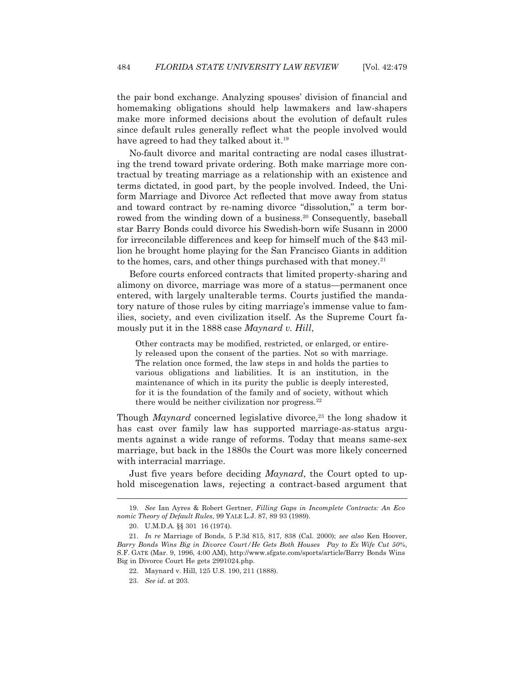the pair bond exchange. Analyzing spouses' division of financial and homemaking obligations should help lawmakers and law-shapers make more informed decisions about the evolution of default rules since default rules generally reflect what the people involved would have agreed to had they talked about it.<sup>19</sup>

 No-fault divorce and marital contracting are nodal cases illustrating the trend toward private ordering. Both make marriage more contractual by treating marriage as a relationship with an existence and terms dictated, in good part, by the people involved. Indeed, the Uniform Marriage and Divorce Act reflected that move away from status and toward contract by re-naming divorce "dissolution," a term borrowed from the winding down of a business.<sup>20</sup> Consequently, baseball star Barry Bonds could divorce his Swedish-born wife Susann in 2000 for irreconcilable differences and keep for himself much of the \$43 million he brought home playing for the San Francisco Giants in addition to the homes, cars, and other things purchased with that money.<sup>21</sup>

 Before courts enforced contracts that limited property-sharing and alimony on divorce, marriage was more of a status—permanent once entered, with largely unalterable terms. Courts justified the mandatory nature of those rules by citing marriage's immense value to families, society, and even civilization itself. As the Supreme Court famously put it in the 1888 case *Maynard v. Hill*,

Other contracts may be modified, restricted, or enlarged, or entirely released upon the consent of the parties. Not so with marriage. The relation once formed, the law steps in and holds the parties to various obligations and liabilities. It is an institution, in the maintenance of which in its purity the public is deeply interested, for it is the foundation of the family and of society, without which there would be neither civilization nor progress.<sup>22</sup>

Though *Maynard* concerned legislative divorce,<sup>23</sup> the long shadow it has cast over family law has supported marriage-as-status arguments against a wide range of reforms. Today that means same-sex marriage, but back in the 1880s the Court was more likely concerned with interracial marriage.

 Just five years before deciding *Maynard*, the Court opted to uphold miscegenation laws, rejecting a contract-based argument that

 <sup>19.</sup> *See* Ian Ayres & Robert Gertner, *Filling Gaps in Incomplete Contracts: An Eco nomic Theory of Default Rules*, 99 YALE L.J. 87, 89 93 (1989).

 <sup>20.</sup> U.M.D.A. §§ 301 16 (1974).

 <sup>21.</sup> *In re* Marriage of Bonds, 5 P.3d 815, 817, 838 (Cal. 2000); *see also* Ken Hoover, *Barry Bonds Wins Big in Divorce Court/He Gets Both Houses Pay to Ex Wife Cut 50%*, S.F. GATE (Mar. 9, 1996, 4:00 AM), http://www.sfgate.com/sports/article/Barry Bonds Wins Big in Divorce Court He gets 2991024.php.

 <sup>22.</sup> Maynard v. Hill, 125 U.S. 190, 211 (1888).

 <sup>23.</sup> *See id.* at 203.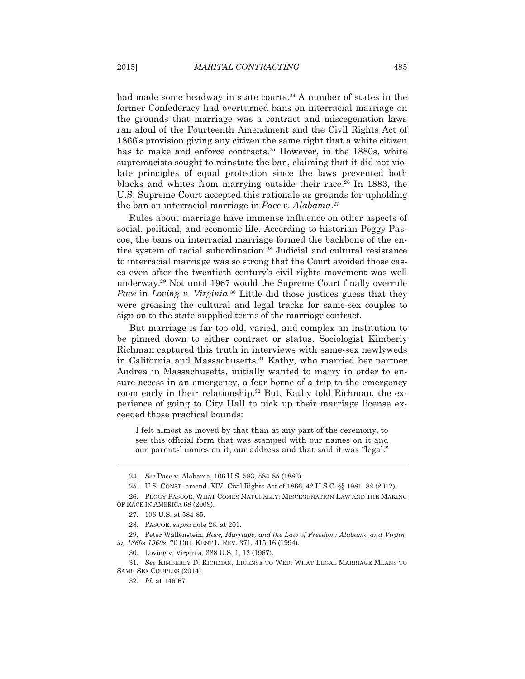had made some headway in state courts.<sup>24</sup> A number of states in the former Confederacy had overturned bans on interracial marriage on the grounds that marriage was a contract and miscegenation laws ran afoul of the Fourteenth Amendment and the Civil Rights Act of 1866's provision giving any citizen the same right that a white citizen has to make and enforce contracts.<sup>25</sup> However, in the 1880s, white supremacists sought to reinstate the ban, claiming that it did not violate principles of equal protection since the laws prevented both blacks and whites from marrying outside their race.26 In 1883, the U.S. Supreme Court accepted this rationale as grounds for upholding the ban on interracial marriage in *Pace v. Alabama*. 27

 Rules about marriage have immense influence on other aspects of social, political, and economic life. According to historian Peggy Pascoe, the bans on interracial marriage formed the backbone of the entire system of racial subordination.28 Judicial and cultural resistance to interracial marriage was so strong that the Court avoided those cases even after the twentieth century's civil rights movement was well underway.29 Not until 1967 would the Supreme Court finally overrule *Pace* in *Loving v. Virginia*. 30 Little did those justices guess that they were greasing the cultural and legal tracks for same-sex couples to sign on to the state-supplied terms of the marriage contract.

 But marriage is far too old, varied, and complex an institution to be pinned down to either contract or status. Sociologist Kimberly Richman captured this truth in interviews with same-sex newlyweds in California and Massachusetts.<sup>31</sup> Kathy, who married her partner Andrea in Massachusetts, initially wanted to marry in order to ensure access in an emergency, a fear borne of a trip to the emergency room early in their relationship.<sup>32</sup> But, Kathy told Richman, the experience of going to City Hall to pick up their marriage license exceeded those practical bounds:

I felt almost as moved by that than at any part of the ceremony, to see this official form that was stamped with our names on it and our parents' names on it, our address and that said it was "legal."

 <sup>24.</sup> *See* Pace v. Alabama, 106 U.S. 583, 584 85 (1883).

 <sup>25.</sup> U.S. CONST. amend. XIV; Civil Rights Act of 1866, 42 U.S.C. §§ 1981 82 (2012).

 <sup>26.</sup> PEGGY PASCOE, WHAT COMES NATURALLY: MISCEGENATION LAW AND THE MAKING OF RACE IN AMERICA 68 (2009).

 <sup>27. 106</sup> U.S. at 584 85.

 <sup>28.</sup> PASCOE, *supra* note 26, at 201.

 <sup>29.</sup> Peter Wallenstein, *Race, Marriage, and the Law of Freedom: Alabama and Virgin ia, 1860s 1960s*, 70 CHI. KENT L. REV. 371, 415 16 (1994).

 <sup>30.</sup> Loving v. Virginia, 388 U.S. 1, 12 (1967).

 <sup>31.</sup> *See* KIMBERLY D. RICHMAN, LICENSE TO WED: WHAT LEGAL MARRIAGE MEANS TO SAME SEX COUPLES (2014).

 <sup>32.</sup> *Id.* at 146 67.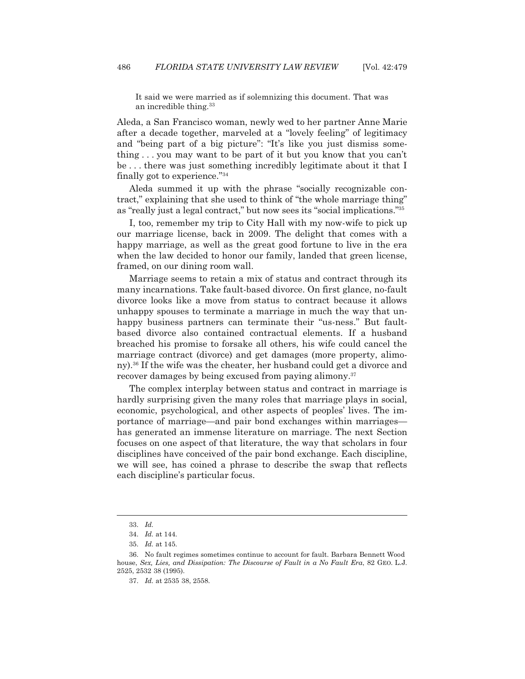It said we were married as if solemnizing this document. That was an incredible thing.<sup>33</sup>

Aleda, a San Francisco woman, newly wed to her partner Anne Marie after a decade together, marveled at a "lovely feeling" of legitimacy and "being part of a big picture": "It's like you just dismiss something . . . you may want to be part of it but you know that you can't be . . . there was just something incredibly legitimate about it that I finally got to experience."34

 Aleda summed it up with the phrase "socially recognizable contract," explaining that she used to think of "the whole marriage thing" as "really just a legal contract," but now sees its "social implications."35

 I, too, remember my trip to City Hall with my now-wife to pick up our marriage license, back in 2009. The delight that comes with a happy marriage, as well as the great good fortune to live in the era when the law decided to honor our family, landed that green license, framed, on our dining room wall.

 Marriage seems to retain a mix of status and contract through its many incarnations. Take fault-based divorce. On first glance, no-fault divorce looks like a move from status to contract because it allows unhappy spouses to terminate a marriage in much the way that unhappy business partners can terminate their "us-ness." But faultbased divorce also contained contractual elements. If a husband breached his promise to forsake all others, his wife could cancel the marriage contract (divorce) and get damages (more property, alimony).36 If the wife was the cheater, her husband could get a divorce and recover damages by being excused from paying alimony.<sup>37</sup>

 The complex interplay between status and contract in marriage is hardly surprising given the many roles that marriage plays in social, economic, psychological, and other aspects of peoples' lives. The importance of marriage—and pair bond exchanges within marriages has generated an immense literature on marriage. The next Section focuses on one aspect of that literature, the way that scholars in four disciplines have conceived of the pair bond exchange. Each discipline, we will see, has coined a phrase to describe the swap that reflects each discipline's particular focus.

 <sup>33.</sup> *Id.*

 <sup>34.</sup> *Id.* at 144.

 <sup>35.</sup> *Id.* at 145.

 <sup>36.</sup> No fault regimes sometimes continue to account for fault. Barbara Bennett Wood house, *Sex, Lies, and Dissipation: The Discourse of Fault in a No Fault Era*, 82 GEO. L.J. 2525, 2532 38 (1995).

 <sup>37.</sup> *Id.* at 2535 38, 2558.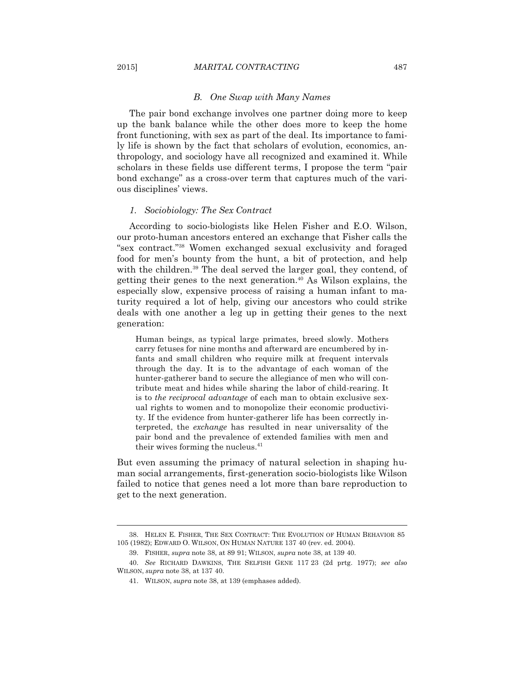#### *B. One Swap with Many Names*

 The pair bond exchange involves one partner doing more to keep up the bank balance while the other does more to keep the home front functioning, with sex as part of the deal. Its importance to family life is shown by the fact that scholars of evolution, economics, anthropology, and sociology have all recognized and examined it. While scholars in these fields use different terms, I propose the term "pair bond exchange" as a cross-over term that captures much of the various disciplines' views.

#### *1. Sociobiology: The Sex Contract*

 According to socio-biologists like Helen Fisher and E.O. Wilson, our proto-human ancestors entered an exchange that Fisher calls the "sex contract."38 Women exchanged sexual exclusivity and foraged food for men's bounty from the hunt, a bit of protection, and help with the children.<sup>39</sup> The deal served the larger goal, they contend, of getting their genes to the next generation.40 As Wilson explains, the especially slow, expensive process of raising a human infant to maturity required a lot of help, giving our ancestors who could strike deals with one another a leg up in getting their genes to the next generation:

Human beings, as typical large primates, breed slowly. Mothers carry fetuses for nine months and afterward are encumbered by infants and small children who require milk at frequent intervals through the day. It is to the advantage of each woman of the hunter-gatherer band to secure the allegiance of men who will contribute meat and hides while sharing the labor of child-rearing. It is to *the reciprocal advantage* of each man to obtain exclusive sexual rights to women and to monopolize their economic productivity. If the evidence from hunter-gatherer life has been correctly interpreted, the *exchange* has resulted in near universality of the pair bond and the prevalence of extended families with men and their wives forming the nucleus.<sup>41</sup>

But even assuming the primacy of natural selection in shaping human social arrangements, first-generation socio-biologists like Wilson failed to notice that genes need a lot more than bare reproduction to get to the next generation.

 <sup>38.</sup> HELEN E. FISHER, THE SEX CONTRACT: THE EVOLUTION OF HUMAN BEHAVIOR 85 105 (1982); EDWARD O. WILSON, ON HUMAN NATURE 137 40 (rev. ed. 2004).

 <sup>39.</sup> FISHER, *supra* note 38, at 89 91; WILSON, *supra* note 38, at 139 40.

 <sup>40.</sup> *See* RICHARD DAWKINS, THE SELFISH GENE 117 23 (2d prtg. 1977); *see also* WILSON, *supra* note 38, at 137 40.

 <sup>41.</sup> WILSON, *supra* note 38, at 139 (emphases added).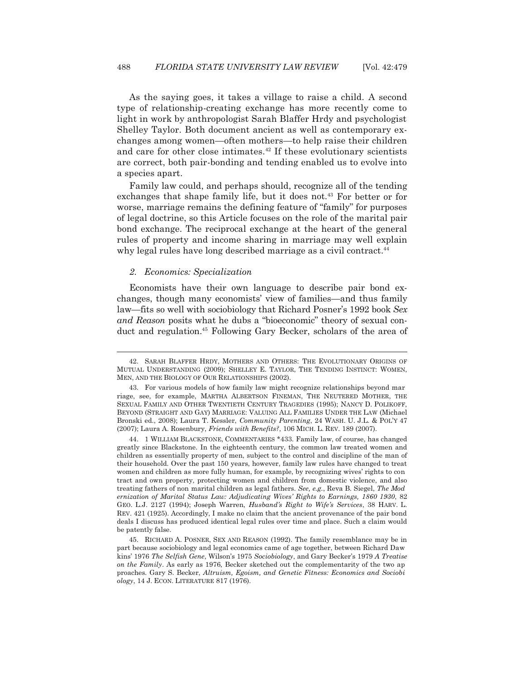As the saying goes, it takes a village to raise a child. A second type of relationship-creating exchange has more recently come to light in work by anthropologist Sarah Blaffer Hrdy and psychologist Shelley Taylor. Both document ancient as well as contemporary exchanges among women—often mothers—to help raise their children and care for other close intimates.<sup>42</sup> If these evolutionary scientists are correct, both pair-bonding and tending enabled us to evolve into a species apart.

 Family law could, and perhaps should, recognize all of the tending exchanges that shape family life, but it does not.43 For better or for worse, marriage remains the defining feature of "family" for purposes of legal doctrine, so this Article focuses on the role of the marital pair bond exchange. The reciprocal exchange at the heart of the general rules of property and income sharing in marriage may well explain why legal rules have long described marriage as a civil contract.<sup>44</sup>

#### *2. Economics: Specialization*

 $\overline{a}$ 

 Economists have their own language to describe pair bond exchanges, though many economists' view of families—and thus family law—fits so well with sociobiology that Richard Posner's 1992 book *Sex and Reason* posits what he dubs a "bioeconomic" theory of sexual conduct and regulation.45 Following Gary Becker, scholars of the area of

 <sup>42.</sup> SARAH BLAFFER HRDY, MOTHERS AND OTHERS: THE EVOLUTIONARY ORIGINS OF MUTUAL UNDERSTANDING (2009); SHELLEY E. TAYLOR, THE TENDING INSTINCT: WOMEN, MEN, AND THE BIOLOGY OF OUR RELATIONSHIPS (2002).

 <sup>43.</sup> For various models of how family law might recognize relationships beyond mar riage, see, for example, MARTHA ALBERTSON FINEMAN, THE NEUTERED MOTHER, THE SEXUAL FAMILY AND OTHER TWENTIETH CENTURY TRAGEDIES (1995); NANCY D. POLIKOFF, BEYOND (STRAIGHT AND GAY) MARRIAGE: VALUING ALL FAMILIES UNDER THE LAW (Michael Bronski ed., 2008); Laura T. Kessler, *Community Parenting*, 24 WASH. U. J.L. & POL'Y 47 (2007); Laura A. Rosenbury, *Friends with Benefits?*, 106 MICH. L. REV. 189 (2007).

 <sup>44. 1</sup> WILLIAM BLACKSTONE, COMMENTARIES \*433. Family law, of course, has changed greatly since Blackstone. In the eighteenth century, the common law treated women and children as essentially property of men, subject to the control and discipline of the man of their household. Over the past 150 years, however, family law rules have changed to treat women and children as more fully human, for example, by recognizing wives' rights to con tract and own property, protecting women and children from domestic violence, and also treating fathers of non marital children as legal fathers. *See, e.g.*, Reva B. Siegel, *The Mod ernization of Marital Status Law: Adjudicating Wives' Rights to Earnings, 1860 1930*, 82 GEO. L.J. 2127 (1994); Joseph Warren, *Husband's Right to Wife's Services*, 38 HARV. L. REV. 421 (1925). Accordingly, I make no claim that the ancient provenance of the pair bond deals I discuss has produced identical legal rules over time and place. Such a claim would be patently false.

 <sup>45.</sup> RICHARD A. POSNER, SEX AND REASON (1992). The family resemblance may be in part because sociobiology and legal economics came of age together, between Richard Daw kins' 1976 *The Selfish Gene*, Wilson's 1975 *Sociobiology*, and Gary Becker's 1979 *A Treatise on the Family*. As early as 1976, Becker sketched out the complementarity of the two ap proaches*.* Gary S. Becker, *Altruism, Egoism, and Genetic Fitness: Economics and Sociobi ology*, 14 J. ECON. LITERATURE 817 (1976).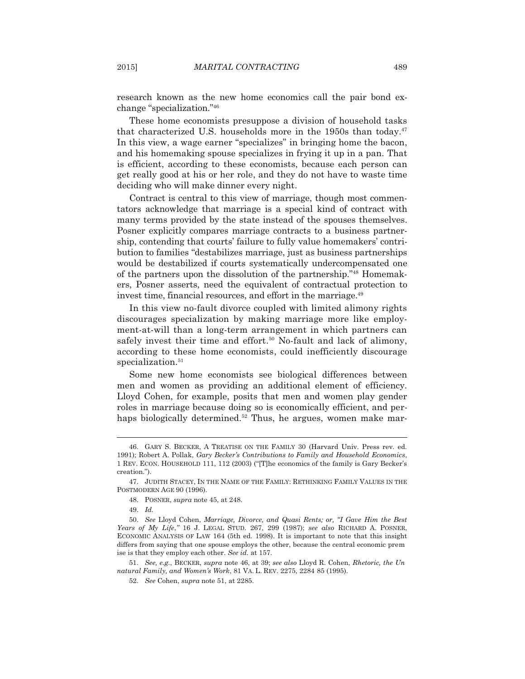research known as the new home economics call the pair bond exchange "specialization."46

 These home economists presuppose a division of household tasks that characterized U.S. households more in the 1950s than today.<sup>47</sup> In this view, a wage earner "specializes" in bringing home the bacon, and his homemaking spouse specializes in frying it up in a pan. That is efficient, according to these economists, because each person can get really good at his or her role, and they do not have to waste time deciding who will make dinner every night.

 Contract is central to this view of marriage, though most commentators acknowledge that marriage is a special kind of contract with many terms provided by the state instead of the spouses themselves. Posner explicitly compares marriage contracts to a business partnership, contending that courts' failure to fully value homemakers' contribution to families "destabilizes marriage, just as business partnerships would be destabilized if courts systematically undercompensated one of the partners upon the dissolution of the partnership."48 Homemakers, Posner asserts, need the equivalent of contractual protection to invest time, financial resources, and effort in the marriage.<sup>49</sup>

 In this view no-fault divorce coupled with limited alimony rights discourages specialization by making marriage more like employment-at-will than a long-term arrangement in which partners can safely invest their time and effort.<sup>50</sup> No-fault and lack of alimony, according to these home economists, could inefficiently discourage specialization.<sup>51</sup>

 Some new home economists see biological differences between men and women as providing an additional element of efficiency. Lloyd Cohen, for example, posits that men and women play gender roles in marriage because doing so is economically efficient, and perhaps biologically determined.<sup>52</sup> Thus, he argues, women make mar-

 <sup>46.</sup> GARY S. BECKER,ATREATISE ON THE FAMILY 30 (Harvard Univ. Press rev. ed. 1991); Robert A. Pollak, *Gary Becker's Contributions to Family and Household Economics*, 1 REV. ECON. HOUSEHOLD 111, 112 (2003) ("[T]he economics of the family is Gary Becker's creation.").

 <sup>47.</sup> JUDITH STACEY, IN THE NAME OF THE FAMILY: RETHINKING FAMILY VALUES IN THE POSTMODERN AGE 90 (1996).

 <sup>48.</sup> POSNER, *supra* note 45, at 248.

 <sup>49.</sup> *Id.*

 <sup>50.</sup> *See* Lloyd Cohen, *Marriage, Divorce, and Quasi Rents; or, "I Gave Him the Best Years of My Life*,*"* 16 J. LEGAL STUD. 267, 299 (1987); *see also* RICHARD A. POSNER, ECONOMIC ANALYSIS OF LAW 164 (5th ed. 1998). It is important to note that this insight differs from saying that one spouse employs the other, because the central economic prem ise is that they employ each other. *See id.* at 157.

 <sup>51.</sup> *See, e.g.*, BECKER, *supra* note 46, at 39; *see also* Lloyd R. Cohen, *Rhetoric, the Un natural Family, and Women's Work*, 81 VA. L. REV. 2275, 2284 85 (1995).

 <sup>52.</sup> *See* Cohen, *supra* note 51, at 2285.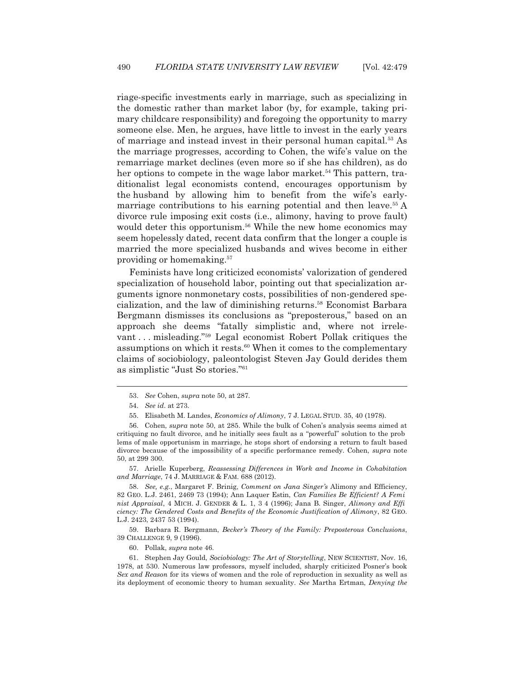riage-specific investments early in marriage, such as specializing in the domestic rather than market labor (by, for example, taking primary childcare responsibility) and foregoing the opportunity to marry someone else. Men, he argues, have little to invest in the early years of marriage and instead invest in their personal human capital.53 As the marriage progresses, according to Cohen, the wife's value on the remarriage market declines (even more so if she has children), as do her options to compete in the wage labor market.<sup>54</sup> This pattern, traditionalist legal economists contend, encourages opportunism by the husband by allowing him to benefit from the wife's earlymarriage contributions to his earning potential and then leave.<sup>55</sup> A divorce rule imposing exit costs (i.e., alimony, having to prove fault) would deter this opportunism.<sup>56</sup> While the new home economics may seem hopelessly dated, recent data confirm that the longer a couple is married the more specialized husbands and wives become in either providing or homemaking.57

 Feminists have long criticized economists' valorization of gendered specialization of household labor, pointing out that specialization arguments ignore nonmonetary costs, possibilities of non-gendered specialization, and the law of diminishing returns.58 Economist Barbara Bergmann dismisses its conclusions as "preposterous," based on an approach she deems "fatally simplistic and, where not irrelevant . . . misleading."59 Legal economist Robert Pollak critiques the assumptions on which it rests.<sup>60</sup> When it comes to the complementary claims of sociobiology, paleontologist Steven Jay Gould derides them as simplistic "Just So stories."61

 $\overline{a}$ 

 57. Arielle Kuperberg, *Reassessing Differences in Work and Income in Cohabitation and Marriage*, 74 J. MARRIAGE & FAM. 688 (2012).

 58. *See, e.g.*, Margaret F. Brinig, *Comment on Jana Singer's* Alimony and Efficiency, 82 GEO. L.J. 2461, 2469 73 (1994); Ann Laquer Estin, *Can Families Be Efficient? A Femi nist Appraisal*, 4 MICH. J. GENDER & L. 1, 3 4 (1996); Jana B. Singer, *Alimony and Effi ciency: The Gendered Costs and Benefits of the Economic Justification of Alimony*, 82 GEO. L.J. 2423, 2437 53 (1994).

 59. Barbara R. Bergmann, *Becker's Theory of the Family: Preposterous Conclusions*, 39 CHALLENGE 9, 9 (1996).

60. Pollak, *supra* note 46.

 61. Stephen Jay Gould, *Sociobiology: The Art of Storytelling*, NEW SCIENTIST, Nov. 16, 1978, at 530. Numerous law professors, myself included, sharply criticized Posner's book *Sex and Reason* for its views of women and the role of reproduction in sexuality as well as its deployment of economic theory to human sexuality. *See* Martha Ertman, *Denying the* 

 <sup>53.</sup> *See* Cohen, *supra* note 50, at 287.

 <sup>54.</sup> *See id*. at 273.

 <sup>55.</sup> Elisabeth M. Landes, *Economics of Alimony*, 7 J. LEGAL STUD. 35, 40 (1978).

 <sup>56.</sup> Cohen, *supra* note 50, at 285. While the bulk of Cohen's analysis seems aimed at critiquing no fault divorce, and he initially sees fault as a "powerful" solution to the prob lems of male opportunism in marriage, he stops short of endorsing a return to fault based divorce because of the impossibility of a specific performance remedy. Cohen, *supra* note 50, at 299 300.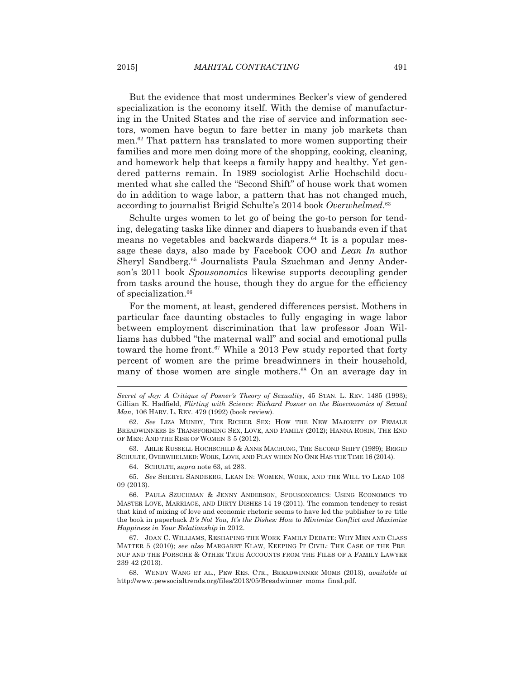But the evidence that most undermines Becker's view of gendered specialization is the economy itself. With the demise of manufacturing in the United States and the rise of service and information sectors, women have begun to fare better in many job markets than men.62 That pattern has translated to more women supporting their families and more men doing more of the shopping, cooking, cleaning, and homework help that keeps a family happy and healthy. Yet gendered patterns remain. In 1989 sociologist Arlie Hochschild documented what she called the "Second Shift" of house work that women do in addition to wage labor, a pattern that has not changed much, according to journalist Brigid Schulte's 2014 book *Overwhelmed*. 63

 Schulte urges women to let go of being the go-to person for tending, delegating tasks like dinner and diapers to husbands even if that means no vegetables and backwards diapers. $64$  It is a popular message these days, also made by Facebook COO and *Lean In* author Sheryl Sandberg.65 Journalists Paula Szuchman and Jenny Anderson's 2011 book *Spousonomics* likewise supports decoupling gender from tasks around the house, though they do argue for the efficiency of specialization.<sup>66</sup>

 For the moment, at least, gendered differences persist. Mothers in particular face daunting obstacles to fully engaging in wage labor between employment discrimination that law professor Joan Williams has dubbed "the maternal wall" and social and emotional pulls toward the home front.<sup>67</sup> While a 2013 Pew study reported that forty percent of women are the prime breadwinners in their household, many of those women are single mothers.<sup>68</sup> On an average day in

 63. ARLIE RUSSELL HOCHSCHILD & ANNE MACHUNG, THE SECOND SHIFT (1989); BRIGID SCHULTE, OVERWHELMED: WORK, LOVE, AND PLAY WHEN NO ONE HAS THE TIME 16 (2014).

64. SCHULTE, *supra* note 63, at 283.

 65. *See* SHERYL SANDBERG, LEAN IN: WOMEN, WORK, AND THE WILL TO LEAD 108 09 (2013).

 66. PAULA SZUCHMAN & JENNY ANDERSON, SPOUSONOMICS: USING ECONOMICS TO MASTER LOVE, MARRIAGE, AND DIRTY DISHES 14 19 (2011). The common tendency to resist that kind of mixing of love and economic rhetoric seems to have led the publisher to re title the book in paperback *It's Not You, It's the Dishes: How to Minimize Conflict and Maximize Happiness in Your Relationship* in 2012.

 67. JOAN C. WILLIAMS, RESHAPING THE WORK FAMILY DEBATE: WHY MEN AND CLASS MATTER 5 (2010); *see also* MARGARET KLAW, KEEPING IT CIVIL: THE CASE OF THE PRE NUP AND THE PORSCHE & OTHER TRUE ACCOUNTS FROM THE FILES OF A FAMILY LAWYER 239 42 (2013).

 68. WENDY WANG ET AL., PEW RES. CTR., BREADWINNER MOMS (2013), *available at* http://www.pewsocialtrends.org/files/2013/05/Breadwinner moms final.pdf.

*Secret of Joy: A Critique of Posner's Theory of Sexuality*, 45 STAN. L. REV. 1485 (1993); Gillian K. Hadfield, *Flirting with Science: Richard Posner on the Bioeconomics of Sexual Man*, 106 HARV. L. REV. 479 (1992) (book review).

 <sup>62.</sup> *See* LIZA MUNDY, THE RICHER SEX: HOW THE NEW MAJORITY OF FEMALE BREADWINNERS IS TRANSFORMING SEX, LOVE, AND FAMILY (2012); HANNA ROSIN, THE END OF MEN: AND THE RISE OF WOMEN 3 5 (2012).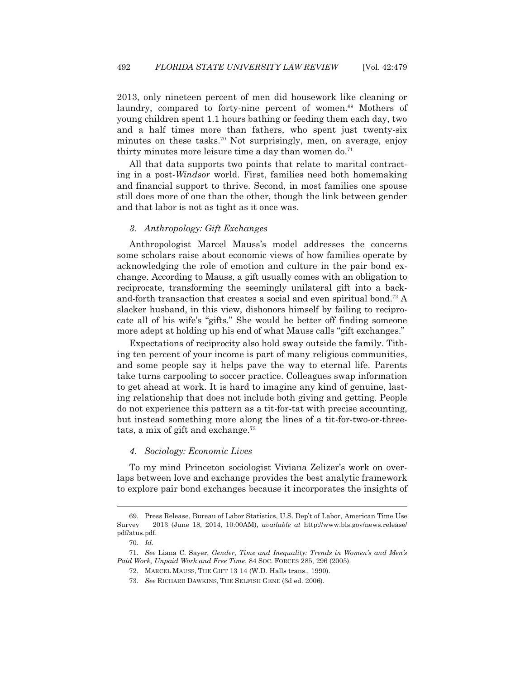2013, only nineteen percent of men did housework like cleaning or laundry, compared to forty-nine percent of women.<sup>69</sup> Mothers of young children spent 1.1 hours bathing or feeding them each day, two and a half times more than fathers, who spent just twenty-six minutes on these tasks.<sup>70</sup> Not surprisingly, men, on average, enjoy thirty minutes more leisure time a day than women do.<sup>71</sup>

 All that data supports two points that relate to marital contracting in a post-*Windsor* world. First, families need both homemaking and financial support to thrive. Second, in most families one spouse still does more of one than the other, though the link between gender and that labor is not as tight as it once was.

#### *3. Anthropology: Gift Exchanges*

 Anthropologist Marcel Mauss's model addresses the concerns some scholars raise about economic views of how families operate by acknowledging the role of emotion and culture in the pair bond exchange. According to Mauss, a gift usually comes with an obligation to reciprocate, transforming the seemingly unilateral gift into a backand-forth transaction that creates a social and even spiritual bond.<sup>72</sup> A slacker husband, in this view, dishonors himself by failing to reciprocate all of his wife's "gifts." She would be better off finding someone more adept at holding up his end of what Mauss calls "gift exchanges."

 Expectations of reciprocity also hold sway outside the family. Tithing ten percent of your income is part of many religious communities, and some people say it helps pave the way to eternal life. Parents take turns carpooling to soccer practice. Colleagues swap information to get ahead at work. It is hard to imagine any kind of genuine, lasting relationship that does not include both giving and getting. People do not experience this pattern as a tit-for-tat with precise accounting, but instead something more along the lines of a tit-for-two-or-threetats, a mix of gift and exchange.<sup>73</sup>

 *4. Sociology: Economic Lives* 

 To my mind Princeton sociologist Viviana Zelizer's work on overlaps between love and exchange provides the best analytic framework to explore pair bond exchanges because it incorporates the insights of

 <sup>69.</sup> Press Release, Bureau of Labor Statistics, U.S. Dep't of Labor, American Time Use Survey 2013 (June 18, 2014, 10:00AM), *available at* http://www.bls.gov/news.release/ pdf/atus.pdf.

 <sup>70.</sup> *Id.*

 <sup>71.</sup> *See* Liana C. Sayer, *Gender, Time and Inequality: Trends in Women's and Men's Paid Work, Unpaid Work and Free Time*, 84 SOC. FORCES 285, 296 (2005).

 <sup>72.</sup> MARCEL MAUSS, THE GIFT 13 14 (W.D. Halls trans., 1990).

 <sup>73.</sup> *See* RICHARD DAWKINS, THE SELFISH GENE (3d ed. 2006).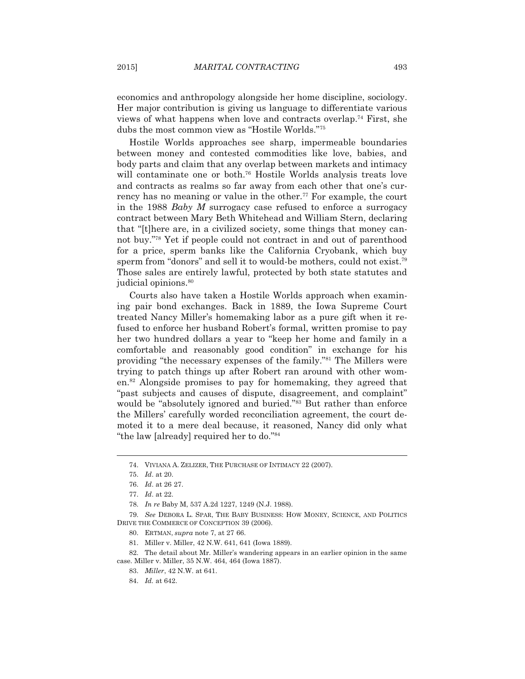economics and anthropology alongside her home discipline, sociology. Her major contribution is giving us language to differentiate various views of what happens when love and contracts overlap.74 First, she dubs the most common view as "Hostile Worlds."75

 Hostile Worlds approaches see sharp, impermeable boundaries between money and contested commodities like love, babies, and body parts and claim that any overlap between markets and intimacy will contaminate one or both.<sup>76</sup> Hostile Worlds analysis treats love and contracts as realms so far away from each other that one's currency has no meaning or value in the other.<sup>77</sup> For example, the court in the 1988 *Baby M* surrogacy case refused to enforce a surrogacy contract between Mary Beth Whitehead and William Stern, declaring that "[t]here are, in a civilized society, some things that money cannot buy."78 Yet if people could not contract in and out of parenthood for a price, sperm banks like the California Cryobank, which buy sperm from "donors" and sell it to would-be mothers, could not exist.<sup>79</sup> Those sales are entirely lawful, protected by both state statutes and judicial opinions.<sup>80</sup>

 Courts also have taken a Hostile Worlds approach when examining pair bond exchanges. Back in 1889, the Iowa Supreme Court treated Nancy Miller's homemaking labor as a pure gift when it refused to enforce her husband Robert's formal, written promise to pay her two hundred dollars a year to "keep her home and family in a comfortable and reasonably good condition" in exchange for his providing "the necessary expenses of the family."81 The Millers were trying to patch things up after Robert ran around with other women.82 Alongside promises to pay for homemaking, they agreed that "past subjects and causes of dispute, disagreement, and complaint" would be "absolutely ignored and buried."<sup>83</sup> But rather than enforce the Millers' carefully worded reconciliation agreement, the court demoted it to a mere deal because, it reasoned, Nancy did only what "the law [already] required her to do."84

 <sup>74.</sup> VIVIANA A. ZELIZER, THE PURCHASE OF INTIMACY 22 (2007).

 <sup>75.</sup> *Id*. at 20.

 <sup>76.</sup> *Id*. at 26 27.

 <sup>77.</sup> *Id*. at 22.

 <sup>78.</sup> *In re* Baby M, 537 A.2d 1227, 1249 (N.J. 1988).

 <sup>79.</sup> *See* DEBORA L. SPAR, THE BABY BUSINESS: HOW MONEY, SCIENCE, AND POLITICS DRIVE THE COMMERCE OF CONCEPTION 39 (2006).

 <sup>80.</sup> ERTMAN, *supra* note 7, at 27 66.

 <sup>81.</sup> Miller v. Miller, 42 N.W. 641, 641 (Iowa 1889).

 <sup>82.</sup> The detail about Mr. Miller's wandering appears in an earlier opinion in the same case. Miller v. Miller, 35 N.W. 464, 464 (Iowa 1887).

 <sup>83.</sup> *Miller*, 42 N.W. at 641.

 <sup>84.</sup> *Id.* at 642.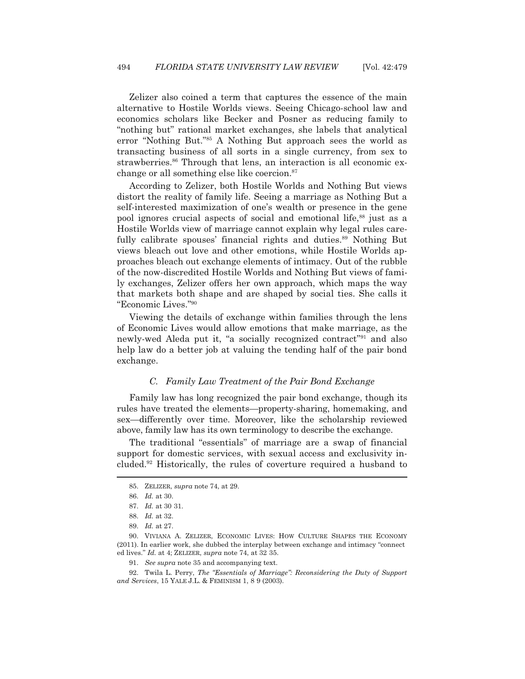Zelizer also coined a term that captures the essence of the main alternative to Hostile Worlds views. Seeing Chicago-school law and economics scholars like Becker and Posner as reducing family to "nothing but" rational market exchanges, she labels that analytical error "Nothing But."85 A Nothing But approach sees the world as transacting business of all sorts in a single currency, from sex to strawberries.<sup>86</sup> Through that lens, an interaction is all economic exchange or all something else like coercion.87

 According to Zelizer, both Hostile Worlds and Nothing But views distort the reality of family life. Seeing a marriage as Nothing But a self-interested maximization of one's wealth or presence in the gene pool ignores crucial aspects of social and emotional life,<sup>88</sup> just as a Hostile Worlds view of marriage cannot explain why legal rules carefully calibrate spouses' financial rights and duties.<sup>89</sup> Nothing But views bleach out love and other emotions, while Hostile Worlds approaches bleach out exchange elements of intimacy. Out of the rubble of the now-discredited Hostile Worlds and Nothing But views of family exchanges, Zelizer offers her own approach, which maps the way that markets both shape and are shaped by social ties. She calls it "Economic Lives."90

 Viewing the details of exchange within families through the lens of Economic Lives would allow emotions that make marriage, as the newly-wed Aleda put it, "a socially recognized contract"91 and also help law do a better job at valuing the tending half of the pair bond exchange.

# *C. Family Law Treatment of the Pair Bond Exchange*

 Family law has long recognized the pair bond exchange, though its rules have treated the elements—property-sharing, homemaking, and sex—differently over time. Moreover, like the scholarship reviewed above, family law has its own terminology to describe the exchange.

 The traditional "essentials" of marriage are a swap of financial support for domestic services, with sexual access and exclusivity included.92 Historically, the rules of coverture required a husband to

 <sup>85.</sup> ZELIZER, *supra* note 74, at 29.

 <sup>86.</sup> *Id.* at 30.

 <sup>87.</sup> *Id.* at 30 31.

 <sup>88.</sup> *Id.* at 32.

 <sup>89.</sup> *Id.* at 27.

 <sup>90.</sup> VIVIANA A. ZELIZER, ECONOMIC LIVES: HOW CULTURE SHAPES THE ECONOMY (2011). In earlier work, she dubbed the interplay between exchange and intimacy "connect ed lives." *Id.* at 4; ZELIZER, *supra* note 74, at 32 35.

 <sup>91.</sup> *See supra* note 35 and accompanying text.

 <sup>92.</sup> Twila L. Perry, *The "Essentials of Marriage": Reconsidering the Duty of Support and Services*, 15 YALE J.L. & FEMINISM 1, 8 9 (2003).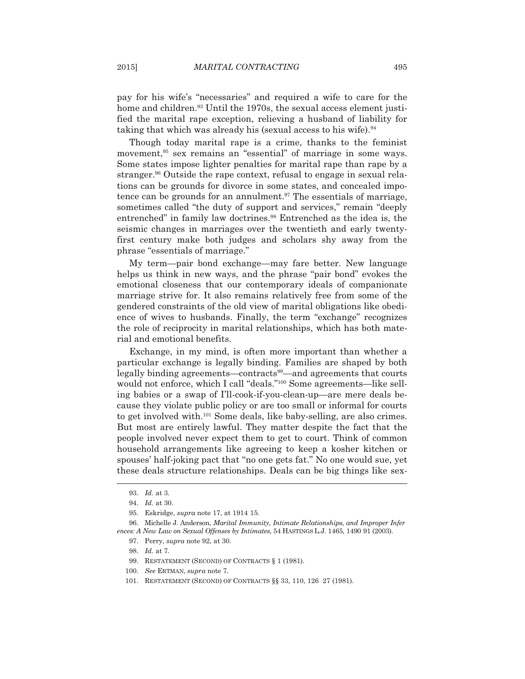pay for his wife's "necessaries" and required a wife to care for the home and children.<sup>93</sup> Until the 1970s, the sexual access element justified the marital rape exception, relieving a husband of liability for taking that which was already his (sexual access to his wife).<sup>94</sup>

 Though today marital rape is a crime, thanks to the feminist movement,<sup>95</sup> sex remains an "essential" of marriage in some ways. Some states impose lighter penalties for marital rape than rape by a stranger.96 Outside the rape context, refusal to engage in sexual relations can be grounds for divorce in some states, and concealed impotence can be grounds for an annulment.<sup>97</sup> The essentials of marriage, sometimes called "the duty of support and services," remain "deeply entrenched" in family law doctrines.<sup>98</sup> Entrenched as the idea is, the seismic changes in marriages over the twentieth and early twentyfirst century make both judges and scholars shy away from the phrase "essentials of marriage."

 My term—pair bond exchange—may fare better. New language helps us think in new ways, and the phrase "pair bond" evokes the emotional closeness that our contemporary ideals of companionate marriage strive for. It also remains relatively free from some of the gendered constraints of the old view of marital obligations like obedience of wives to husbands. Finally, the term "exchange" recognizes the role of reciprocity in marital relationships, which has both material and emotional benefits.

 Exchange, in my mind, is often more important than whether a particular exchange is legally binding. Families are shaped by both legally binding agreements—contracts<sup>99</sup>—and agreements that courts would not enforce, which I call "deals."100 Some agreements—like selling babies or a swap of I'll-cook-if-you-clean-up—are mere deals because they violate public policy or are too small or informal for courts to get involved with.101 Some deals, like baby-selling, are also crimes. But most are entirely lawful. They matter despite the fact that the people involved never expect them to get to court. Think of common household arrangements like agreeing to keep a kosher kitchen or spouses' half-joking pact that "no one gets fat." No one would sue, yet these deals structure relationships. Deals can be big things like sex-  $\overline{a}$ 

 <sup>93.</sup> *Id.* at 3.

 <sup>94.</sup> *Id.* at 30.

 <sup>95.</sup> Eskridge, *supra* note 17, at 1914 15.

 <sup>96.</sup> Michelle J. Anderson, *Marital Immunity, Intimate Relationships, and Improper Infer ences: A New Law on Sexual Offenses by Intimates*, 54 HASTINGS L.J. 1465, 1490 91 (2003).

 <sup>97.</sup> Perry, *supra* note 92, at 30.

 <sup>98.</sup> *Id.* at 7.

 <sup>99.</sup> RESTATEMENT (SECOND) OF CONTRACTS § 1 (1981).

 <sup>100.</sup> *See* ERTMAN, *supra* note 7.

 <sup>101.</sup> RESTATEMENT (SECOND) OF CONTRACTS §§ 33, 110, 126 27 (1981).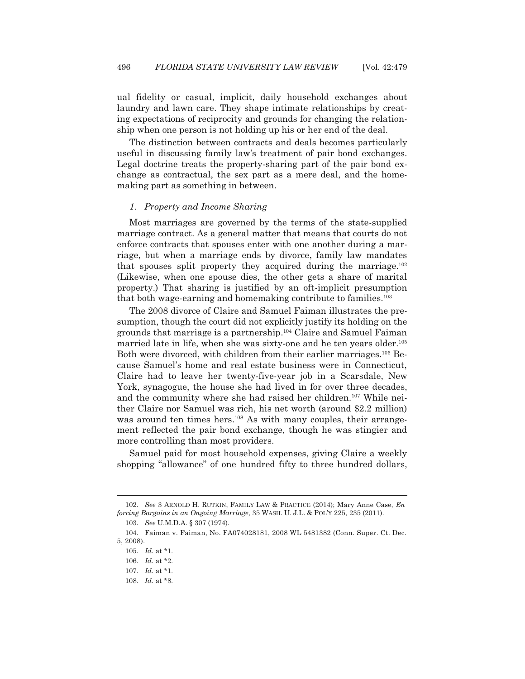ual fidelity or casual, implicit, daily household exchanges about laundry and lawn care. They shape intimate relationships by creating expectations of reciprocity and grounds for changing the relationship when one person is not holding up his or her end of the deal.

 The distinction between contracts and deals becomes particularly useful in discussing family law's treatment of pair bond exchanges. Legal doctrine treats the property-sharing part of the pair bond exchange as contractual, the sex part as a mere deal, and the homemaking part as something in between.

# *1. Property and Income Sharing*

 Most marriages are governed by the terms of the state-supplied marriage contract. As a general matter that means that courts do not enforce contracts that spouses enter with one another during a marriage, but when a marriage ends by divorce, family law mandates that spouses split property they acquired during the marriage.102 (Likewise, when one spouse dies, the other gets a share of marital property.) That sharing is justified by an oft-implicit presumption that both wage-earning and homemaking contribute to families.<sup>103</sup>

 The 2008 divorce of Claire and Samuel Faiman illustrates the presumption, though the court did not explicitly justify its holding on the grounds that marriage is a partnership.104 Claire and Samuel Faiman married late in life, when she was sixty-one and he ten years older.105 Both were divorced, with children from their earlier marriages.<sup>106</sup> Because Samuel's home and real estate business were in Connecticut, Claire had to leave her twenty-five-year job in a Scarsdale, New York, synagogue, the house she had lived in for over three decades, and the community where she had raised her children.<sup>107</sup> While neither Claire nor Samuel was rich, his net worth (around \$2.2 million) was around ten times hers.<sup>108</sup> As with many couples, their arrangement reflected the pair bond exchange, though he was stingier and more controlling than most providers.

 Samuel paid for most household expenses, giving Claire a weekly shopping "allowance" of one hundred fifty to three hundred dollars,

 <sup>102.</sup> *See* 3 ARNOLD H. RUTKIN, FAMILY LAW & PRACTICE (2014); Mary Anne Case, *En forcing Bargains in an Ongoing Marriage*, 35 WASH. U. J.L. & POL'Y 225, 235 (2011).

 <sup>103.</sup> *See* U.M.D.A. § 307 (1974).

 <sup>104.</sup> Faiman v. Faiman, No. FA074028181, 2008 WL 5481382 (Conn. Super. Ct. Dec. 5, 2008).

 <sup>105.</sup> *Id.* at \*1.

 <sup>106.</sup> *Id.* at \*2.

 <sup>107.</sup> *Id.* at \*1.

 <sup>108.</sup> *Id.* at \*8.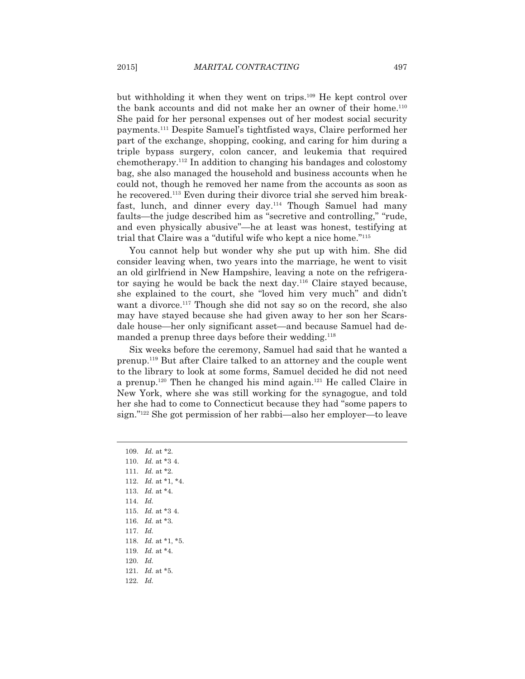but withholding it when they went on trips.109 He kept control over the bank accounts and did not make her an owner of their home.<sup>110</sup> She paid for her personal expenses out of her modest social security payments.111 Despite Samuel's tightfisted ways, Claire performed her part of the exchange, shopping, cooking, and caring for him during a triple bypass surgery, colon cancer, and leukemia that required chemotherapy.112 In addition to changing his bandages and colostomy bag, she also managed the household and business accounts when he could not, though he removed her name from the accounts as soon as he recovered.113 Even during their divorce trial she served him breakfast, lunch, and dinner every day.<sup>114</sup> Though Samuel had many faults—the judge described him as "secretive and controlling," "rude, and even physically abusive"—he at least was honest, testifying at trial that Claire was a "dutiful wife who kept a nice home."115

 You cannot help but wonder why she put up with him. She did consider leaving when, two years into the marriage, he went to visit an old girlfriend in New Hampshire, leaving a note on the refrigerator saying he would be back the next day.116 Claire stayed because, she explained to the court, she "loved him very much" and didn't want a divorce.<sup>117</sup> Though she did not say so on the record, she also may have stayed because she had given away to her son her Scarsdale house—her only significant asset—and because Samuel had demanded a prenup three days before their wedding.<sup>118</sup>

 Six weeks before the ceremony, Samuel had said that he wanted a prenup.119 But after Claire talked to an attorney and the couple went to the library to look at some forms, Samuel decided he did not need a prenup.<sup>120</sup> Then he changed his mind again.<sup>121</sup> He called Claire in New York, where she was still working for the synagogue, and told her she had to come to Connecticut because they had "some papers to sign."122 She got permission of her rabbi—also her employer—to leave

 109. *Id.* at \*2. 110. *Id.* at \*3 4. 111. *Id.* at \*2. 112. *Id.* at \*1, \*4. 113. *Id.* at \*4. 114. *Id.* 115. *Id.* at \*3 4. 116. *Id.* at \*3. 117. *Id.* 118. *Id.* at \*1, \*5. 119. *Id.* at \*4. 120. *Id.* 121. *Id.* at \*5. 122. *Id.*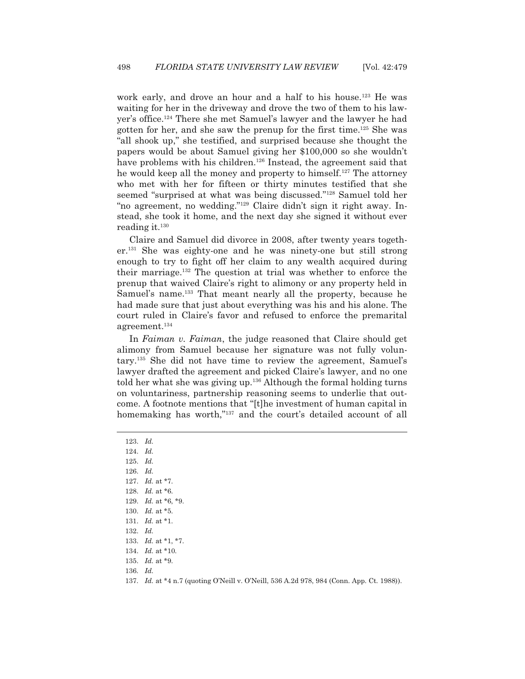work early, and drove an hour and a half to his house.<sup>123</sup> He was waiting for her in the driveway and drove the two of them to his lawyer's office.124 There she met Samuel's lawyer and the lawyer he had gotten for her, and she saw the prenup for the first time.125 She was "all shook up," she testified, and surprised because she thought the papers would be about Samuel giving her \$100,000 so she wouldn't have problems with his children.<sup>126</sup> Instead, the agreement said that he would keep all the money and property to himself.<sup>127</sup> The attorney who met with her for fifteen or thirty minutes testified that she seemed "surprised at what was being discussed."128 Samuel told her "no agreement, no wedding."129 Claire didn't sign it right away. Instead, she took it home, and the next day she signed it without ever reading it.130

 Claire and Samuel did divorce in 2008, after twenty years together.131 She was eighty-one and he was ninety-one but still strong enough to try to fight off her claim to any wealth acquired during their marriage.132 The question at trial was whether to enforce the prenup that waived Claire's right to alimony or any property held in Samuel's name.<sup>133</sup> That meant nearly all the property, because he had made sure that just about everything was his and his alone. The court ruled in Claire's favor and refused to enforce the premarital agreement.134

 In *Faiman v. Faiman*, the judge reasoned that Claire should get alimony from Samuel because her signature was not fully voluntary.135 She did not have time to review the agreement, Samuel's lawyer drafted the agreement and picked Claire's lawyer, and no one told her what she was giving up. $136$  Although the formal holding turns on voluntariness, partnership reasoning seems to underlie that outcome. A footnote mentions that "[t]he investment of human capital in homemaking has worth,"<sup>137</sup> and the court's detailed account of all

123. *Id.*

 $\overline{a}$ 

124. *Id.*

125. *Id.*

126. *Id.*

127. *Id.* at \*7.

128. *Id.* at \*6.

129. *Id.* at \*6, \*9.

130. *Id.* at \*5.

131. *Id.* at \*1.

132. *Id.*

133. *Id.* at \*1, \*7.

134. *Id.* at \*10.

135. *Id.* at \*9.

136. *Id.*

137. *Id.* at \*4 n.7 (quoting O'Neill v. O'Neill, 536 A.2d 978, 984 (Conn. App. Ct. 1988)).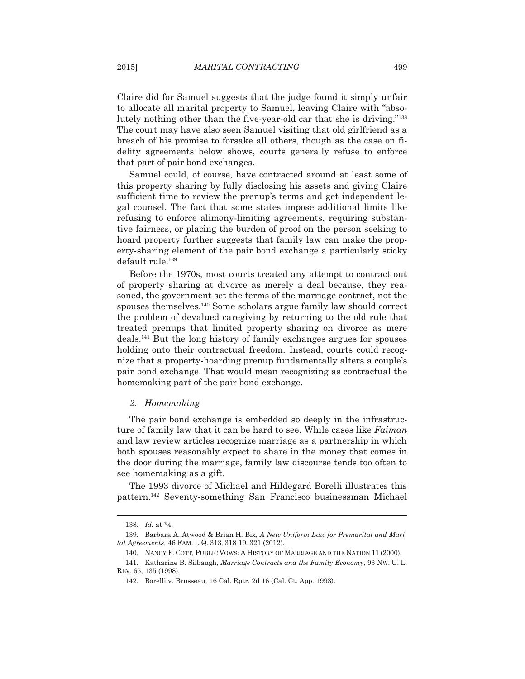Claire did for Samuel suggests that the judge found it simply unfair to allocate all marital property to Samuel, leaving Claire with "absolutely nothing other than the five-year-old car that she is driving."138 The court may have also seen Samuel visiting that old girlfriend as a breach of his promise to forsake all others, though as the case on fidelity agreements below shows, courts generally refuse to enforce that part of pair bond exchanges.

 Samuel could, of course, have contracted around at least some of this property sharing by fully disclosing his assets and giving Claire sufficient time to review the prenup's terms and get independent legal counsel. The fact that some states impose additional limits like refusing to enforce alimony-limiting agreements, requiring substantive fairness, or placing the burden of proof on the person seeking to hoard property further suggests that family law can make the property-sharing element of the pair bond exchange a particularly sticky default rule.139

 Before the 1970s, most courts treated any attempt to contract out of property sharing at divorce as merely a deal because, they reasoned, the government set the terms of the marriage contract, not the spouses themselves.140 Some scholars argue family law should correct the problem of devalued caregiving by returning to the old rule that treated prenups that limited property sharing on divorce as mere deals.141 But the long history of family exchanges argues for spouses holding onto their contractual freedom. Instead, courts could recognize that a property-hoarding prenup fundamentally alters a couple's pair bond exchange. That would mean recognizing as contractual the homemaking part of the pair bond exchange.

#### *2. Homemaking*

 The pair bond exchange is embedded so deeply in the infrastructure of family law that it can be hard to see. While cases like *Faiman*  and law review articles recognize marriage as a partnership in which both spouses reasonably expect to share in the money that comes in the door during the marriage, family law discourse tends too often to see homemaking as a gift.

 The 1993 divorce of Michael and Hildegard Borelli illustrates this pattern.142 Seventy-something San Francisco businessman Michael

 <sup>138.</sup> *Id.* at \*4.

 <sup>139.</sup> Barbara A. Atwood & Brian H. Bix, *A New Uniform Law for Premarital and Mari tal Agreements*, 46 FAM. L.Q. 313, 318 19, 321 (2012).

 <sup>140.</sup> NANCY F. COTT, PUBLIC VOWS:AHISTORY OF MARRIAGE AND THE NATION 11 (2000).

 <sup>141.</sup> Katharine B. Silbaugh, *Marriage Contracts and the Family Economy*, 93 NW. U. L. REV. 65, 135 (1998).

 <sup>142.</sup> Borelli v. Brusseau, 16 Cal. Rptr. 2d 16 (Cal. Ct. App. 1993).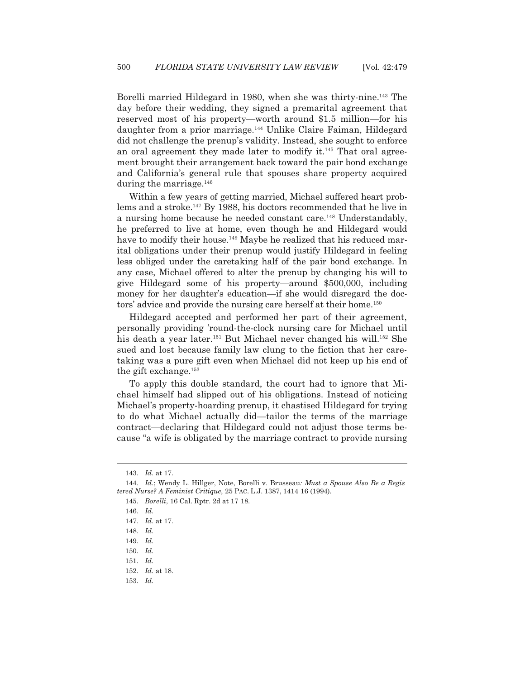Borelli married Hildegard in 1980, when she was thirty-nine.143 The day before their wedding, they signed a premarital agreement that reserved most of his property—worth around \$1.5 million—for his daughter from a prior marriage.<sup>144</sup> Unlike Claire Faiman, Hildegard did not challenge the prenup's validity. Instead, she sought to enforce an oral agreement they made later to modify it. $145$  That oral agreement brought their arrangement back toward the pair bond exchange and California's general rule that spouses share property acquired during the marriage.<sup>146</sup>

 Within a few years of getting married, Michael suffered heart problems and a stroke.147 By 1988, his doctors recommended that he live in a nursing home because he needed constant care.<sup>148</sup> Understandably, he preferred to live at home, even though he and Hildegard would have to modify their house.<sup>149</sup> Maybe he realized that his reduced marital obligations under their prenup would justify Hildegard in feeling less obliged under the caretaking half of the pair bond exchange. In any case, Michael offered to alter the prenup by changing his will to give Hildegard some of his property—around \$500,000, including money for her daughter's education—if she would disregard the doctors' advice and provide the nursing care herself at their home.<sup>150</sup>

 Hildegard accepted and performed her part of their agreement, personally providing 'round-the-clock nursing care for Michael until his death a year later.<sup>151</sup> But Michael never changed his will.<sup>152</sup> She sued and lost because family law clung to the fiction that her caretaking was a pure gift even when Michael did not keep up his end of the gift exchange.153

 To apply this double standard, the court had to ignore that Michael himself had slipped out of his obligations. Instead of noticing Michael's property-hoarding prenup, it chastised Hildegard for trying to do what Michael actually did—tailor the terms of the marriage contract—declaring that Hildegard could not adjust those terms because "a wife is obligated by the marriage contract to provide nursing

 <sup>143.</sup> *Id.* at 17.

 <sup>144.</sup> *Id.*; Wendy L. Hillger, Note, Borelli v. Brusseau*: Must a Spouse Also Be a Regis tered Nurse? A Feminist Critique*, 25 PAC. L.J. 1387, 1414 16 (1994).

 <sup>145.</sup> *Borelli*, 16 Cal. Rptr. 2d at 17 18.

 <sup>146.</sup> *Id.*

 <sup>147.</sup> *Id.* at 17.

 <sup>148.</sup> *Id.*

 <sup>149.</sup> *Id.*

 <sup>150.</sup> *Id.*

 <sup>151.</sup> *Id.*

 <sup>152.</sup> *Id.* at 18.

 <sup>153.</sup> *Id.*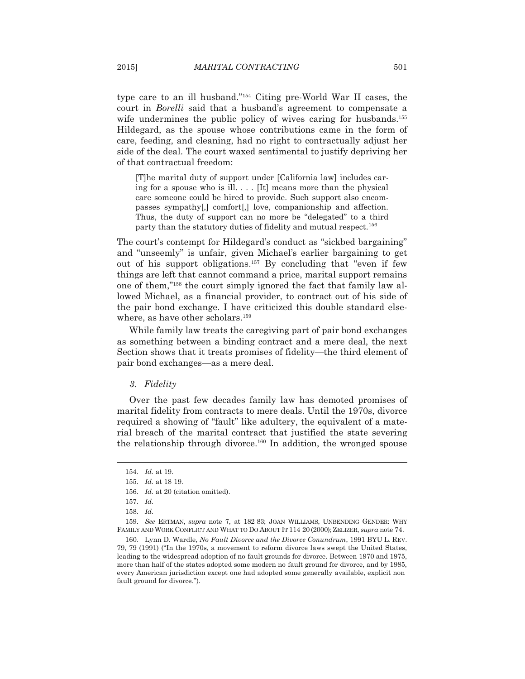type care to an ill husband."154 Citing pre-World War II cases, the court in *Borelli* said that a husband's agreement to compensate a wife undermines the public policy of wives caring for husbands.<sup>155</sup> Hildegard, as the spouse whose contributions came in the form of care, feeding, and cleaning, had no right to contractually adjust her side of the deal. The court waxed sentimental to justify depriving her of that contractual freedom:

[T]he marital duty of support under [California law] includes caring for a spouse who is ill.  $\ldots$  [It] means more than the physical care someone could be hired to provide. Such support also encompasses sympathy[,] comfort[,] love, companionship and affection. Thus, the duty of support can no more be "delegated" to a third party than the statutory duties of fidelity and mutual respect.<sup>156</sup>

The court's contempt for Hildegard's conduct as "sickbed bargaining" and "unseemly" is unfair, given Michael's earlier bargaining to get out of his support obligations.157 By concluding that "even if few things are left that cannot command a price, marital support remains one of them,"158 the court simply ignored the fact that family law allowed Michael, as a financial provider, to contract out of his side of the pair bond exchange. I have criticized this double standard elsewhere, as have other scholars.<sup>159</sup>

 While family law treats the caregiving part of pair bond exchanges as something between a binding contract and a mere deal, the next Section shows that it treats promises of fidelity—the third element of pair bond exchanges—as a mere deal.

#### *3. Fidelity*

 Over the past few decades family law has demoted promises of marital fidelity from contracts to mere deals. Until the 1970s, divorce required a showing of "fault" like adultery, the equivalent of a material breach of the marital contract that justified the state severing the relationship through divorce.<sup>160</sup> In addition, the wronged spouse

 <sup>154.</sup> *Id.* at 19.

 <sup>155.</sup> *Id.* at 18 19.

 <sup>156.</sup> *Id.* at 20 (citation omitted).

 <sup>157.</sup> *Id.*

 <sup>158.</sup> *Id.* 

 <sup>159.</sup> *See* ERTMAN, *supra* note 7, at 182 83; JOAN WILLIAMS, UNBENDING GENDER: WHY FAMILY AND WORK CONFLICT AND WHAT TO DO ABOUT IT 114 20 (2000); ZELIZER, *supra* note 74.

 <sup>160.</sup> Lynn D. Wardle, *No Fault Divorce and the Divorce Conundrum*, 1991 BYU L. REV. 79, 79 (1991) ("In the 1970s, a movement to reform divorce laws swept the United States, leading to the widespread adoption of no fault grounds for divorce. Between 1970 and 1975, more than half of the states adopted some modern no fault ground for divorce, and by 1985, every American jurisdiction except one had adopted some generally available, explicit non fault ground for divorce.").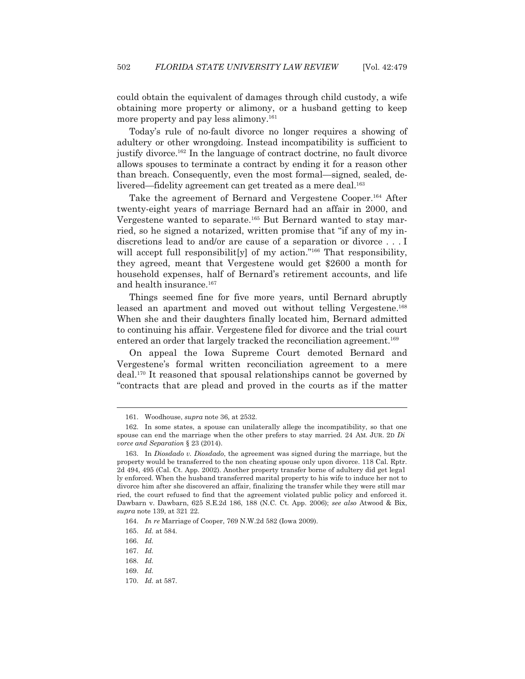could obtain the equivalent of damages through child custody, a wife obtaining more property or alimony, or a husband getting to keep more property and pay less alimony.<sup>161</sup>

 Today's rule of no-fault divorce no longer requires a showing of adultery or other wrongdoing. Instead incompatibility is sufficient to justify divorce.162 In the language of contract doctrine, no fault divorce allows spouses to terminate a contract by ending it for a reason other than breach. Consequently, even the most formal—signed, sealed, delivered—fidelity agreement can get treated as a mere deal.<sup>163</sup>

 Take the agreement of Bernard and Vergestene Cooper.164 After twenty-eight years of marriage Bernard had an affair in 2000, and Vergestene wanted to separate.<sup>165</sup> But Bernard wanted to stay married, so he signed a notarized, written promise that "if any of my indiscretions lead to and/or are cause of a separation or divorce . . . I will accept full responsibilit [y] of my action."<sup>166</sup> That responsibility, they agreed, meant that Vergestene would get \$2600 a month for household expenses, half of Bernard's retirement accounts, and life and health insurance.<sup>167</sup>

 Things seemed fine for five more years, until Bernard abruptly leased an apartment and moved out without telling Vergestene.<sup>168</sup> When she and their daughters finally located him, Bernard admitted to continuing his affair. Vergestene filed for divorce and the trial court entered an order that largely tracked the reconciliation agreement.<sup>169</sup>

 On appeal the Iowa Supreme Court demoted Bernard and Vergestene's formal written reconciliation agreement to a mere deal.170 It reasoned that spousal relationships cannot be governed by "contracts that are plead and proved in the courts as if the matter

 <sup>161.</sup> Woodhouse, *supra* note 36, at 2532.

 <sup>162.</sup> In some states, a spouse can unilaterally allege the incompatibility, so that one spouse can end the marriage when the other prefers to stay married. 24 AM. JUR. 2D *Di vorce and Separation* § 23 (2014).

 <sup>163.</sup> In *Diosdado v. Diosdado*, the agreement was signed during the marriage, but the property would be transferred to the non cheating spouse only upon divorce. 118 Cal. Rptr. 2d 494, 495 (Cal. Ct. App. 2002). Another property transfer borne of adultery did get legal ly enforced. When the husband transferred marital property to his wife to induce her not to divorce him after she discovered an affair, finalizing the transfer while they were still mar ried, the court refused to find that the agreement violated public policy and enforced it. Dawbarn v. Dawbarn, 625 S.E.2d 186, 188 (N.C. Ct. App. 2006); *see also* Atwood & Bix, *supra* note 139, at 321 22.

 <sup>164.</sup> *In re* Marriage of Cooper, 769 N.W.2d 582 (Iowa 2009).

 <sup>165.</sup> *Id.* at 584.

 <sup>166.</sup> *Id.* 

 <sup>167.</sup> *Id.*

 <sup>168.</sup> *Id.*

 <sup>169.</sup> *Id.*

 <sup>170.</sup> *Id.* at 587.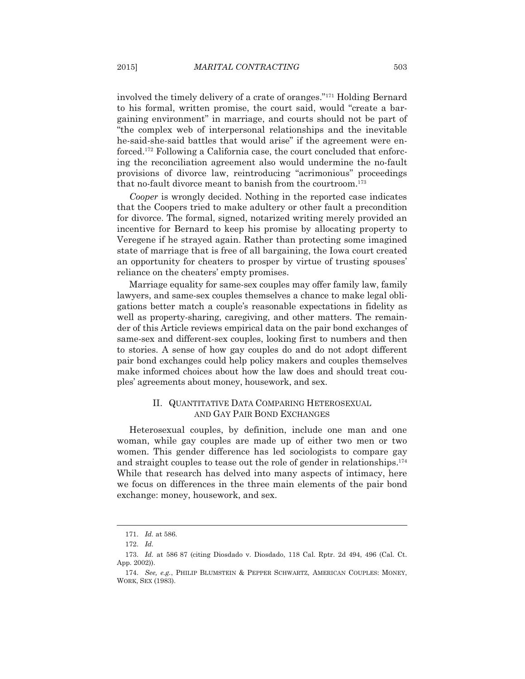involved the timely delivery of a crate of oranges."171 Holding Bernard to his formal, written promise, the court said, would "create a bargaining environment" in marriage, and courts should not be part of "the complex web of interpersonal relationships and the inevitable he-said-she-said battles that would arise" if the agreement were enforced.172 Following a California case, the court concluded that enforcing the reconciliation agreement also would undermine the no-fault provisions of divorce law, reintroducing "acrimonious" proceedings that no-fault divorce meant to banish from the courtroom.173

*Cooper* is wrongly decided. Nothing in the reported case indicates that the Coopers tried to make adultery or other fault a precondition for divorce. The formal, signed, notarized writing merely provided an incentive for Bernard to keep his promise by allocating property to Veregene if he strayed again. Rather than protecting some imagined state of marriage that is free of all bargaining, the Iowa court created an opportunity for cheaters to prosper by virtue of trusting spouses' reliance on the cheaters' empty promises.

 Marriage equality for same-sex couples may offer family law, family lawyers, and same-sex couples themselves a chance to make legal obligations better match a couple's reasonable expectations in fidelity as well as property-sharing, caregiving, and other matters. The remainder of this Article reviews empirical data on the pair bond exchanges of same-sex and different-sex couples, looking first to numbers and then to stories. A sense of how gay couples do and do not adopt different pair bond exchanges could help policy makers and couples themselves make informed choices about how the law does and should treat couples' agreements about money, housework, and sex.

# II. QUANTITATIVE DATA COMPARING HETEROSEXUAL AND GAY PAIR BOND EXCHANGES

 Heterosexual couples, by definition, include one man and one woman, while gay couples are made up of either two men or two women. This gender difference has led sociologists to compare gay and straight couples to tease out the role of gender in relationships.<sup>174</sup> While that research has delved into many aspects of intimacy, here we focus on differences in the three main elements of the pair bond exchange: money, housework, and sex.

 <sup>171.</sup> *Id.* at 586.

 <sup>172.</sup> *Id.*

 <sup>173.</sup> *Id.* at 586 87 (citing Diosdado v. Diosdado, 118 Cal. Rptr. 2d 494, 496 (Cal. Ct. App. 2002)).

 <sup>174.</sup> *See, e.g.*, PHILIP BLUMSTEIN & PEPPER SCHWARTZ, AMERICAN COUPLES: MONEY, WORK, SEX (1983).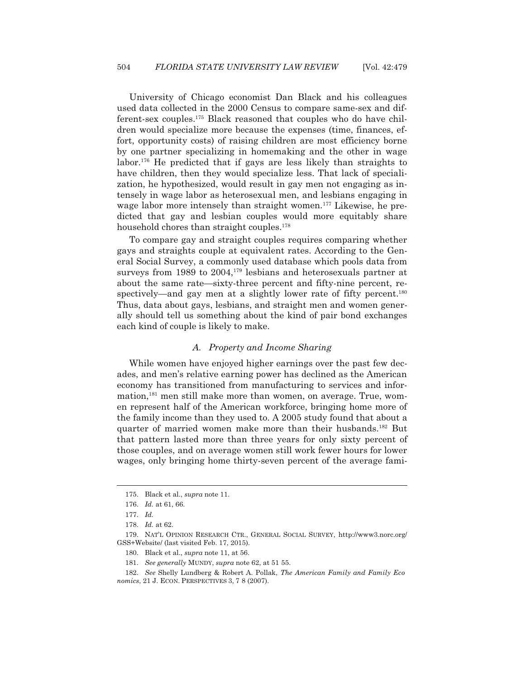University of Chicago economist Dan Black and his colleagues used data collected in the 2000 Census to compare same-sex and different-sex couples.175 Black reasoned that couples who do have children would specialize more because the expenses (time, finances, effort, opportunity costs) of raising children are most efficiency borne by one partner specializing in homemaking and the other in wage labor.<sup>176</sup> He predicted that if gays are less likely than straights to have children, then they would specialize less. That lack of specialization, he hypothesized, would result in gay men not engaging as intensely in wage labor as heterosexual men, and lesbians engaging in wage labor more intensely than straight women.<sup>177</sup> Likewise, he predicted that gay and lesbian couples would more equitably share household chores than straight couples.<sup>178</sup>

 To compare gay and straight couples requires comparing whether gays and straights couple at equivalent rates. According to the General Social Survey, a commonly used database which pools data from surveys from 1989 to  $2004$ ,<sup>179</sup> lesbians and heterosexuals partner at about the same rate—sixty-three percent and fifty-nine percent, respectively—and gay men at a slightly lower rate of fifty percent.<sup>180</sup> Thus, data about gays, lesbians, and straight men and women generally should tell us something about the kind of pair bond exchanges each kind of couple is likely to make.

#### *A. Property and Income Sharing*

 While women have enjoyed higher earnings over the past few decades, and men's relative earning power has declined as the American economy has transitioned from manufacturing to services and information,181 men still make more than women, on average. True, women represent half of the American workforce, bringing home more of the family income than they used to. A 2005 study found that about a quarter of married women make more than their husbands.182 But that pattern lasted more than three years for only sixty percent of those couples, and on average women still work fewer hours for lower wages, only bringing home thirty-seven percent of the average fami-

 <sup>175.</sup> Black et al., *supra* note 11.

 <sup>176.</sup> *Id.* at 61, 66.

 <sup>177.</sup> *Id.*

 <sup>178.</sup> *Id.* at 62.

 <sup>179.</sup> NAT'L OPINION RESEARCH CTR., GENERAL SOCIAL SURVEY, http://www3.norc.org/ GSS+Website/ (last visited Feb. 17, 2015).

 <sup>180.</sup> Black et al., *supra* note 11, at 56.

 <sup>181.</sup> *See generally* MUNDY, *supra* note 62, at 51 55.

 <sup>182.</sup> *See* Shelly Lundberg & Robert A. Pollak, *The American Family and Family Eco nomics*, 21 J. ECON. PERSPECTIVES 3, 7 8 (2007).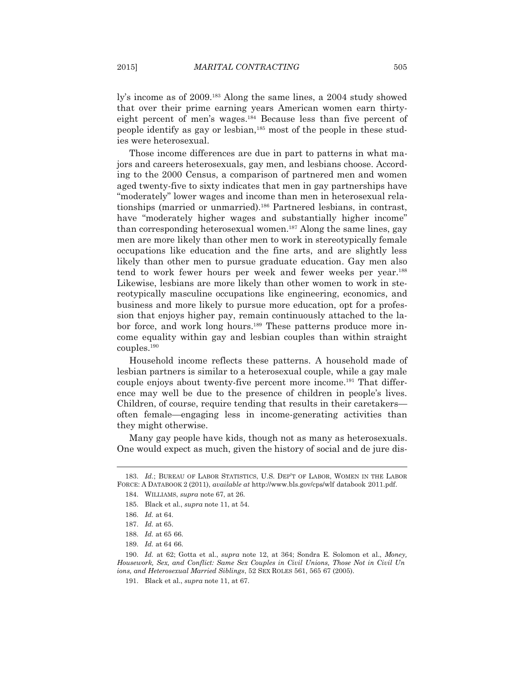ly's income as of 2009.183 Along the same lines, a 2004 study showed that over their prime earning years American women earn thirtyeight percent of men's wages.184 Because less than five percent of people identify as gay or lesbian,185 most of the people in these studies were heterosexual.

 Those income differences are due in part to patterns in what majors and careers heterosexuals, gay men, and lesbians choose. According to the 2000 Census, a comparison of partnered men and women aged twenty-five to sixty indicates that men in gay partnerships have "moderately" lower wages and income than men in heterosexual relationships (married or unmarried).<sup>186</sup> Partnered lesbians, in contrast, have "moderately higher wages and substantially higher income" than corresponding heterosexual women.<sup>187</sup> Along the same lines, gay men are more likely than other men to work in stereotypically female occupations like education and the fine arts, and are slightly less likely than other men to pursue graduate education. Gay men also tend to work fewer hours per week and fewer weeks per year.188 Likewise, lesbians are more likely than other women to work in stereotypically masculine occupations like engineering, economics, and business and more likely to pursue more education, opt for a profession that enjoys higher pay, remain continuously attached to the labor force, and work long hours.<sup>189</sup> These patterns produce more income equality within gay and lesbian couples than within straight couples.190

 Household income reflects these patterns. A household made of lesbian partners is similar to a heterosexual couple, while a gay male couple enjoys about twenty-five percent more income.<sup>191</sup> That difference may well be due to the presence of children in people's lives. Children, of course, require tending that results in their caretakers often female—engaging less in income-generating activities than they might otherwise.

 Many gay people have kids, though not as many as heterosexuals. One would expect as much, given the history of social and de jure dis-

 <sup>183.</sup> *Id.*; BUREAU OF LABOR STATISTICS, U.S. DEP'T OF LABOR, WOMEN IN THE LABOR FORCE:ADATABOOK 2 (2011), *available at* http://www.bls.gov/cps/wlf databook 2011.pdf.

 <sup>184.</sup> WILLIAMS, *supra* note 67, at 26.

 <sup>185.</sup> Black et al., *supra* note 11, at 54.

 <sup>186.</sup> *Id.* at 64.

 <sup>187.</sup> *Id.* at 65.

 <sup>188.</sup> *Id.* at 65 66.

 <sup>189.</sup> *Id.* at 64 66.

 <sup>190.</sup> *Id.* at 62; Gotta et al., *supra* note 12, at 364; Sondra E. Solomon et al., *Money, Housework, Sex, and Conflict: Same Sex Couples in Civil Unions, Those Not in Civil Un ions, and Heterosexual Married Siblings*, 52 SEX ROLES 561, 565 67 (2005).

 <sup>191.</sup> Black et al., *supra* note 11, at 67.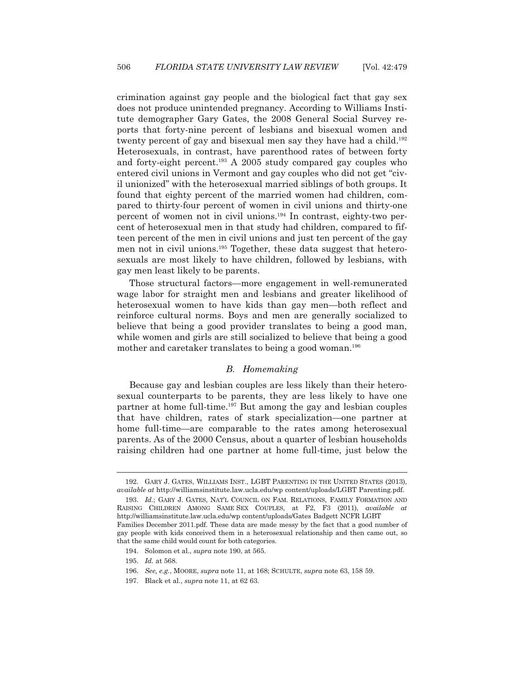crimination against gay people and the biological fact that gay sex does not produce unintended pregnancy. According to Williams Institute demographer Gary Gates, the 2008 General Social Survey reports that forty-nine percent of lesbians and bisexual women and twenty percent of gay and bisexual men say they have had a child.<sup>192</sup> Heterosexuals, in contrast, have parenthood rates of between forty and forty-eight percent.<sup>193</sup> A 2005 study compared gay couples who entered civil unions in Vermont and gay couples who did not get "civil unionized" with the heterosexual married siblings of both groups. It found that eighty percent of the married women had children, compared to thirty-four percent of women in civil unions and thirty-one percent of women not in civil unions.194 In contrast, eighty-two percent of heterosexual men in that study had children, compared to fifteen percent of the men in civil unions and just ten percent of the gay men not in civil unions.195 Together, these data suggest that heterosexuals are most likely to have children, followed by lesbians, with gay men least likely to be parents.

 Those structural factors—more engagement in well-remunerated wage labor for straight men and lesbians and greater likelihood of heterosexual women to have kids than gay men—both reflect and reinforce cultural norms. Boys and men are generally socialized to believe that being a good provider translates to being a good man, while women and girls are still socialized to believe that being a good mother and caretaker translates to being a good woman.196

## *B. Homemaking*

 Because gay and lesbian couples are less likely than their heterosexual counterparts to be parents, they are less likely to have one partner at home full-time.<sup>197</sup> But among the gay and lesbian couples that have children, rates of stark specialization—one partner at home full-time—are comparable to the rates among heterosexual parents. As of the 2000 Census, about a quarter of lesbian households raising children had one partner at home full-time, just below the

 <sup>192.</sup> GARY J. GATES, WILLIAMS INST., LGBT PARENTING IN THE UNITED STATES (2013), *available at* http://williamsinstitute.law.ucla.edu/wp content/uploads/LGBT Parenting.pdf.

 <sup>193.</sup> *Id.*; GARY J. GATES, NAT'L COUNCIL ON FAM. RELATIONS, FAMILY FORMATION AND RAISING CHILDREN AMONG SAME SEX COUPLES, at F2, F3 (2011), *available at* http://williamsinstitute.law.ucla.edu/wp content/uploads/Gates Badgett NCFR LGBT Families December 2011.pdf. These data are made messy by the fact that a good number of gay people with kids conceived them in a heterosexual relationship and then came out, so that the same child would count for both categories.

 <sup>194.</sup> Solomon et al., *supra* note 190, at 565.

 <sup>195.</sup> *Id.* at 568.

 <sup>196.</sup> *See, e.g.*, MOORE, *supra* note 11, at 168; SCHULTE, *supra* note 63, 158 59.

 <sup>197.</sup> Black et al., *supra* note 11, at 62 63.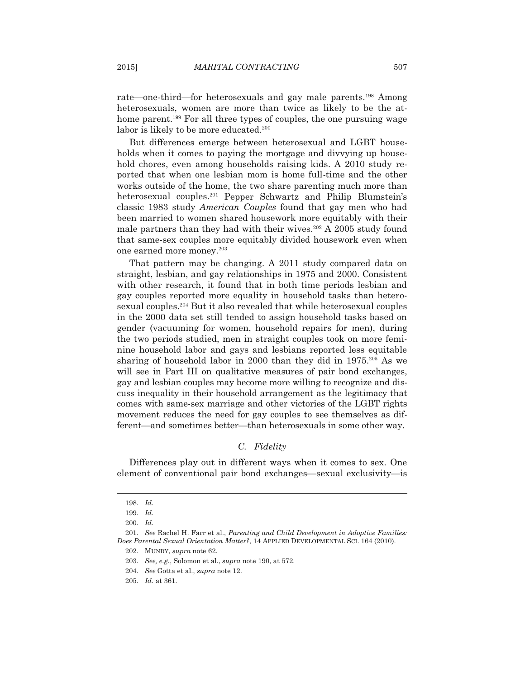rate—one-third—for heterosexuals and gay male parents.198 Among heterosexuals, women are more than twice as likely to be the athome parent.<sup>199</sup> For all three types of couples, the one pursuing wage labor is likely to be more educated.<sup>200</sup>

 But differences emerge between heterosexual and LGBT households when it comes to paying the mortgage and divvying up household chores, even among households raising kids. A 2010 study reported that when one lesbian mom is home full-time and the other works outside of the home, the two share parenting much more than heterosexual couples.<sup>201</sup> Pepper Schwartz and Philip Blumstein's classic 1983 study *American Couples* found that gay men who had been married to women shared housework more equitably with their male partners than they had with their wives.<sup>202</sup> A 2005 study found that same-sex couples more equitably divided housework even when one earned more money.203

 That pattern may be changing. A 2011 study compared data on straight, lesbian, and gay relationships in 1975 and 2000. Consistent with other research, it found that in both time periods lesbian and gay couples reported more equality in household tasks than heterosexual couples.204 But it also revealed that while heterosexual couples in the 2000 data set still tended to assign household tasks based on gender (vacuuming for women, household repairs for men), during the two periods studied, men in straight couples took on more feminine household labor and gays and lesbians reported less equitable sharing of household labor in 2000 than they did in 1975.205 As we will see in Part III on qualitative measures of pair bond exchanges, gay and lesbian couples may become more willing to recognize and discuss inequality in their household arrangement as the legitimacy that comes with same-sex marriage and other victories of the LGBT rights movement reduces the need for gay couples to see themselves as different—and sometimes better—than heterosexuals in some other way.

# *C. Fidelity*

 Differences play out in different ways when it comes to sex. One element of conventional pair bond exchanges—sexual exclusivity—is

 <sup>198.</sup> *Id.*

 <sup>199.</sup> *Id.*

 <sup>200.</sup> *Id.*

 <sup>201.</sup> *See* Rachel H. Farr et al., *Parenting and Child Development in Adoptive Families: Does Parental Sexual Orientation Matter?*, 14 APPLIED DEVELOPMENTAL SCI. 164 (2010).

 <sup>202.</sup> MUNDY, *supra* note 62.

 <sup>203.</sup> *See, e.g.*, Solomon et al., *supra* note 190, at 572.

 <sup>204.</sup> *See* Gotta et al., *supra* note 12.

 <sup>205.</sup> *Id.* at 361.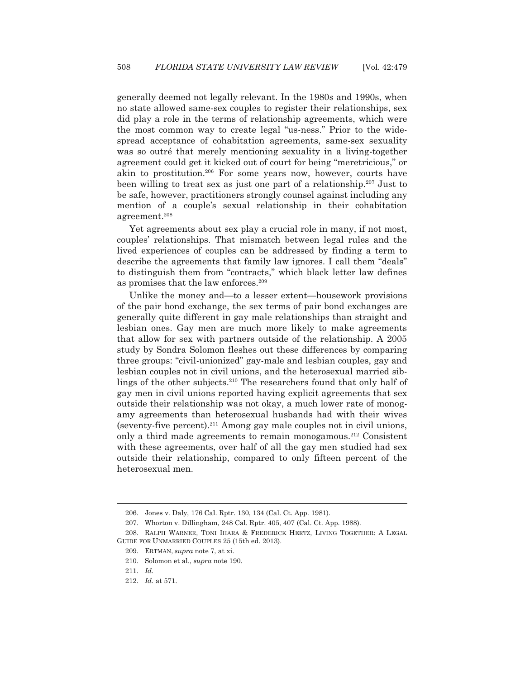generally deemed not legally relevant. In the 1980s and 1990s, when no state allowed same-sex couples to register their relationships, sex did play a role in the terms of relationship agreements, which were the most common way to create legal "us-ness." Prior to the widespread acceptance of cohabitation agreements, same-sex sexuality was so outré that merely mentioning sexuality in a living-together agreement could get it kicked out of court for being "meretricious," or akin to prostitution.206 For some years now, however, courts have been willing to treat sex as just one part of a relationship.207 Just to be safe, however, practitioners strongly counsel against including any mention of a couple's sexual relationship in their cohabitation agreement.208

 Yet agreements about sex play a crucial role in many, if not most, couples' relationships. That mismatch between legal rules and the lived experiences of couples can be addressed by finding a term to describe the agreements that family law ignores. I call them "deals" to distinguish them from "contracts," which black letter law defines as promises that the law enforces.<sup>209</sup>

 Unlike the money and—to a lesser extent—housework provisions of the pair bond exchange, the sex terms of pair bond exchanges are generally quite different in gay male relationships than straight and lesbian ones. Gay men are much more likely to make agreements that allow for sex with partners outside of the relationship. A 2005 study by Sondra Solomon fleshes out these differences by comparing three groups: "civil-unionized" gay-male and lesbian couples, gay and lesbian couples not in civil unions, and the heterosexual married siblings of the other subjects.<sup>210</sup> The researchers found that only half of gay men in civil unions reported having explicit agreements that sex outside their relationship was not okay, a much lower rate of monogamy agreements than heterosexual husbands had with their wives (seventy-five percent).211 Among gay male couples not in civil unions, only a third made agreements to remain monogamous.212 Consistent with these agreements, over half of all the gay men studied had sex outside their relationship, compared to only fifteen percent of the heterosexual men.

 <sup>206.</sup> Jones v. Daly, 176 Cal. Rptr. 130, 134 (Cal. Ct. App. 1981).

 <sup>207.</sup> Whorton v. Dillingham, 248 Cal. Rptr. 405, 407 (Cal. Ct. App. 1988).

 <sup>208.</sup> RALPH WARNER, TONI IHARA & FREDERICK HERTZ, LIVING TOGETHER:ALEGAL GUIDE FOR UNMARRIED COUPLES 25 (15th ed. 2013).

 <sup>209.</sup> ERTMAN, *supra* note 7, at xi.

 <sup>210.</sup> Solomon et al., *supra* note 190.

 <sup>211.</sup> *Id.*

 <sup>212.</sup> *Id.* at 571.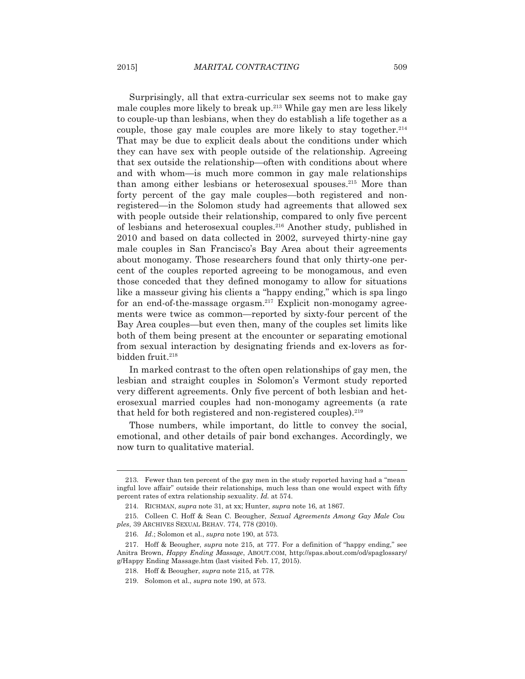Surprisingly, all that extra-curricular sex seems not to make gay male couples more likely to break up.213 While gay men are less likely to couple-up than lesbians, when they do establish a life together as a couple, those gay male couples are more likely to stay together. $214$ That may be due to explicit deals about the conditions under which they can have sex with people outside of the relationship. Agreeing that sex outside the relationship—often with conditions about where and with whom—is much more common in gay male relationships than among either lesbians or heterosexual spouses.215 More than forty percent of the gay male couples—both registered and nonregistered—in the Solomon study had agreements that allowed sex with people outside their relationship, compared to only five percent of lesbians and heterosexual couples.216 Another study, published in 2010 and based on data collected in 2002, surveyed thirty-nine gay male couples in San Francisco's Bay Area about their agreements about monogamy. Those researchers found that only thirty-one percent of the couples reported agreeing to be monogamous, and even those conceded that they defined monogamy to allow for situations like a masseur giving his clients a "happy ending," which is spa lingo for an end-of-the-massage orgasm.<sup>217</sup> Explicit non-monogamy agreements were twice as common—reported by sixty-four percent of the Bay Area couples—but even then, many of the couples set limits like both of them being present at the encounter or separating emotional from sexual interaction by designating friends and ex-lovers as forbidden fruit.<sup>218</sup>

 In marked contrast to the often open relationships of gay men, the lesbian and straight couples in Solomon's Vermont study reported very different agreements. Only five percent of both lesbian and heterosexual married couples had non-monogamy agreements (a rate that held for both registered and non-registered couples).<sup>219</sup>

 Those numbers, while important, do little to convey the social, emotional, and other details of pair bond exchanges. Accordingly, we now turn to qualitative material.

 <sup>213.</sup> Fewer than ten percent of the gay men in the study reported having had a "mean ingful love affair" outside their relationships, much less than one would expect with fifty percent rates of extra relationship sexuality. *Id.* at 574.

 <sup>214.</sup> RICHMAN, *supra* note 31, at xx; Hunter, *supra* note 16, at 1867.

 <sup>215.</sup> Colleen C. Hoff & Sean C. Beougher, *Sexual Agreements Among Gay Male Cou ples*, 39 ARCHIVES SEXUAL BEHAV. 774, 778 (2010).

 <sup>216.</sup> *Id*.; Solomon et al., *supra* note 190, at 573.

 <sup>217.</sup> Hoff & Beougher, *supra* note 215, at 777. For a definition of "happy ending," see Anitra Brown, *Happy Ending Massage*, ABOUT.COM, http://spas.about.com/od/spaglossary/ g/Happy Ending Massage.htm (last visited Feb. 17, 2015).

 <sup>218.</sup> Hoff & Beougher, *supra* note 215, at 778.

 <sup>219.</sup> Solomon et al., *supra* note 190, at 573.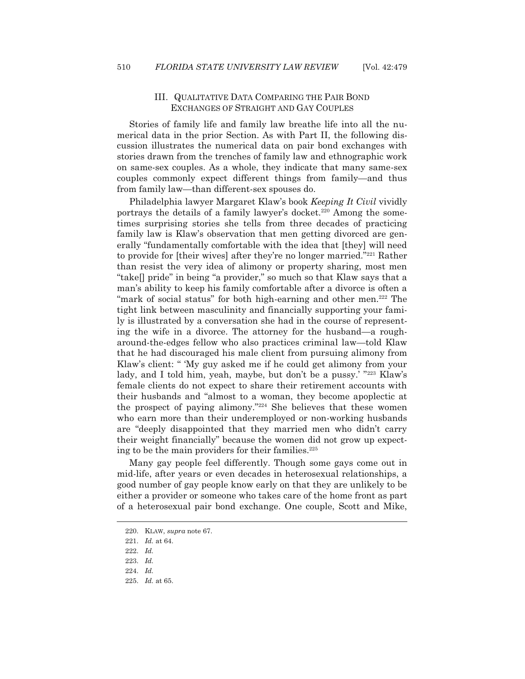# III. QUALITATIVE DATA COMPARING THE PAIR BOND EXCHANGES OF STRAIGHT AND GAY COUPLES

 Stories of family life and family law breathe life into all the numerical data in the prior Section. As with Part II, the following discussion illustrates the numerical data on pair bond exchanges with stories drawn from the trenches of family law and ethnographic work on same-sex couples. As a whole, they indicate that many same-sex couples commonly expect different things from family—and thus from family law—than different-sex spouses do.

 Philadelphia lawyer Margaret Klaw's book *Keeping It Civil* vividly portrays the details of a family lawyer's docket.<sup>220</sup> Among the sometimes surprising stories she tells from three decades of practicing family law is Klaw's observation that men getting divorced are generally "fundamentally comfortable with the idea that [they] will need to provide for [their wives] after they're no longer married."221 Rather than resist the very idea of alimony or property sharing, most men "take[] pride" in being "a provider," so much so that Klaw says that a man's ability to keep his family comfortable after a divorce is often a "mark of social status" for both high-earning and other men.<sup>222</sup> The tight link between masculinity and financially supporting your family is illustrated by a conversation she had in the course of representing the wife in a divorce. The attorney for the husband—a rougharound-the-edges fellow who also practices criminal law—told Klaw that he had discouraged his male client from pursuing alimony from Klaw's client: " 'My guy asked me if he could get alimony from your lady, and I told him, yeah, maybe, but don't be a pussy.' "223 Klaw's female clients do not expect to share their retirement accounts with their husbands and "almost to a woman, they become apoplectic at the prospect of paying alimony."224 She believes that these women who earn more than their underemployed or non-working husbands are "deeply disappointed that they married men who didn't carry their weight financially" because the women did not grow up expecting to be the main providers for their families. $225$ 

 Many gay people feel differently. Though some gays come out in mid-life, after years or even decades in heterosexual relationships, a good number of gay people know early on that they are unlikely to be either a provider or someone who takes care of the home front as part of a heterosexual pair bond exchange. One couple, Scott and Mike,

 <sup>220.</sup> KLAW, *supra* note 67.

 <sup>221.</sup> *Id.* at 64.

 <sup>222.</sup> *Id.*

 <sup>223.</sup> *Id.*

 <sup>224.</sup> *Id.*

 <sup>225.</sup> *Id.* at 65.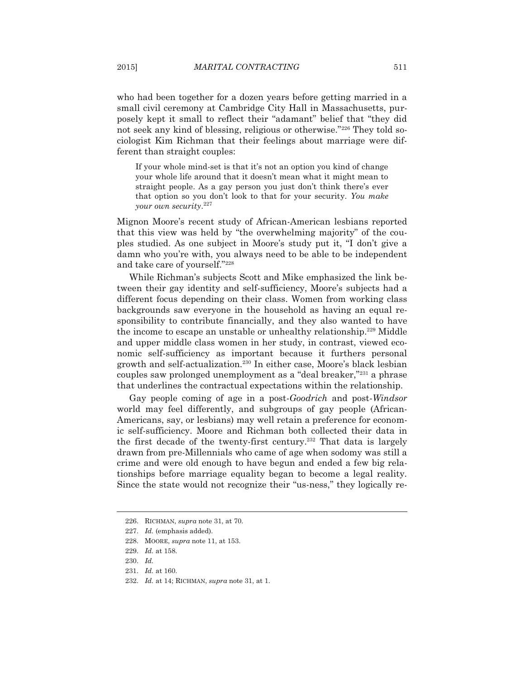who had been together for a dozen years before getting married in a small civil ceremony at Cambridge City Hall in Massachusetts, purposely kept it small to reflect their "adamant" belief that "they did not seek any kind of blessing, religious or otherwise."226 They told sociologist Kim Richman that their feelings about marriage were different than straight couples:

If your whole mind-set is that it's not an option you kind of change your whole life around that it doesn't mean what it might mean to straight people. As a gay person you just don't think there's ever that option so you don't look to that for your security. *You make your own security*. 227

Mignon Moore's recent study of African-American lesbians reported that this view was held by "the overwhelming majority" of the couples studied. As one subject in Moore's study put it, "I don't give a damn who you're with, you always need to be able to be independent and take care of yourself."228

 While Richman's subjects Scott and Mike emphasized the link between their gay identity and self-sufficiency, Moore's subjects had a different focus depending on their class. Women from working class backgrounds saw everyone in the household as having an equal responsibility to contribute financially, and they also wanted to have the income to escape an unstable or unhealthy relationship.<sup>229</sup> Middle and upper middle class women in her study, in contrast, viewed economic self-sufficiency as important because it furthers personal growth and self-actualization.230 In either case, Moore's black lesbian couples saw prolonged unemployment as a "deal breaker,"231 a phrase that underlines the contractual expectations within the relationship.

 Gay people coming of age in a post-*Goodrich* and post-*Windsor* world may feel differently, and subgroups of gay people (African-Americans, say, or lesbians) may well retain a preference for economic self-sufficiency. Moore and Richman both collected their data in the first decade of the twenty-first century.<sup>232</sup> That data is largely drawn from pre-Millennials who came of age when sodomy was still a crime and were old enough to have begun and ended a few big relationships before marriage equality began to become a legal reality. Since the state would not recognize their "us-ness," they logically re-

 <sup>226.</sup> RICHMAN, *supra* note 31, at 70.

 <sup>227.</sup> *Id.* (emphasis added).

 <sup>228.</sup> MOORE, *supra* note 11, at 153.

 <sup>229.</sup> *Id.* at 158.

 <sup>230.</sup> *Id.*

 <sup>231.</sup> *Id.* at 160.

 <sup>232.</sup> *Id.* at 14; RICHMAN, *supra* note 31, at 1.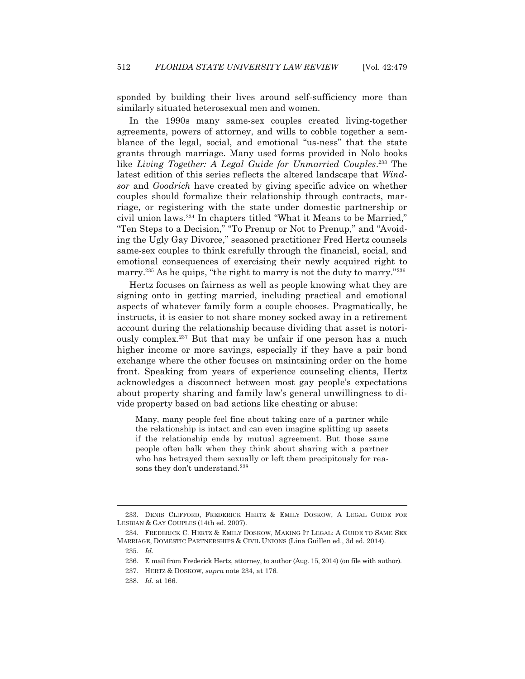sponded by building their lives around self-sufficiency more than similarly situated heterosexual men and women.

 In the 1990s many same-sex couples created living-together agreements, powers of attorney, and wills to cobble together a semblance of the legal, social, and emotional "us-ness" that the state grants through marriage. Many used forms provided in Nolo books like *Living Together: A Legal Guide for Unmarried Couples*. 233 The latest edition of this series reflects the altered landscape that *Windsor* and *Goodrich* have created by giving specific advice on whether couples should formalize their relationship through contracts, marriage, or registering with the state under domestic partnership or civil union laws.234 In chapters titled "What it Means to be Married," "Ten Steps to a Decision," "To Prenup or Not to Prenup," and "Avoiding the Ugly Gay Divorce," seasoned practitioner Fred Hertz counsels same-sex couples to think carefully through the financial, social, and emotional consequences of exercising their newly acquired right to marry.<sup>235</sup> As he quips, "the right to marry is not the duty to marry."<sup>236</sup>

 Hertz focuses on fairness as well as people knowing what they are signing onto in getting married, including practical and emotional aspects of whatever family form a couple chooses. Pragmatically, he instructs, it is easier to not share money socked away in a retirement account during the relationship because dividing that asset is notoriously complex.237 But that may be unfair if one person has a much higher income or more savings, especially if they have a pair bond exchange where the other focuses on maintaining order on the home front. Speaking from years of experience counseling clients, Hertz acknowledges a disconnect between most gay people's expectations about property sharing and family law's general unwillingness to divide property based on bad actions like cheating or abuse:

Many, many people feel fine about taking care of a partner while the relationship is intact and can even imagine splitting up assets if the relationship ends by mutual agreement. But those same people often balk when they think about sharing with a partner who has betrayed them sexually or left them precipitously for reasons they don't understand.<sup>238</sup>

<sup>233.</sup> DENIS CLIFFORD, FREDERICK HERTZ & EMILY DOSKOW, A LEGAL GUIDE FOR LESBIAN & GAY COUPLES (14th ed. 2007).

 <sup>234.</sup> FREDERICK C. HERTZ & EMILY DOSKOW, MAKING IT LEGAL:AGUIDE TO SAME SEX MARRIAGE, DOMESTIC PARTNERSHIPS & CIVIL UNIONS (Lina Guillen ed., 3d ed. 2014).

 <sup>235.</sup> *Id.*

 <sup>236.</sup> E mail from Frederick Hertz, attorney, to author (Aug. 15, 2014) (on file with author).

 <sup>237.</sup> HERTZ & DOSKOW, *supra* note 234, at 176.

 <sup>238.</sup> *Id.* at 166.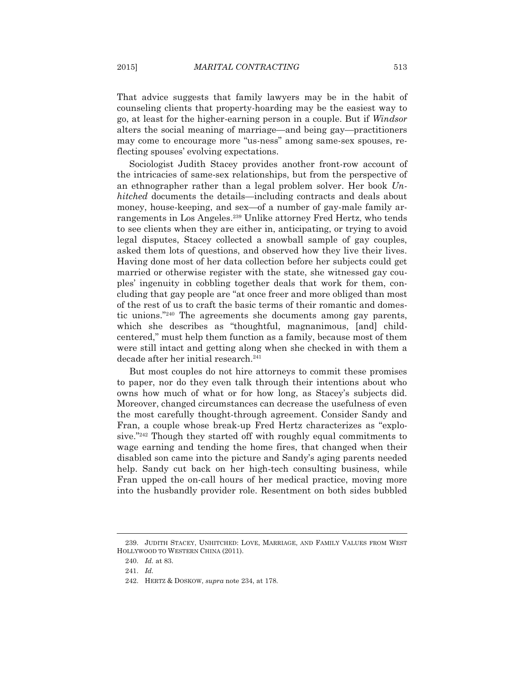That advice suggests that family lawyers may be in the habit of counseling clients that property-hoarding may be the easiest way to go, at least for the higher-earning person in a couple. But if *Windsor* alters the social meaning of marriage—and being gay—practitioners may come to encourage more "us-ness" among same-sex spouses, reflecting spouses' evolving expectations.

 Sociologist Judith Stacey provides another front-row account of the intricacies of same-sex relationships, but from the perspective of an ethnographer rather than a legal problem solver. Her book *Unhitched* documents the details—including contracts and deals about money, house-keeping, and sex—of a number of gay-male family arrangements in Los Angeles.239 Unlike attorney Fred Hertz, who tends to see clients when they are either in, anticipating, or trying to avoid legal disputes, Stacey collected a snowball sample of gay couples, asked them lots of questions, and observed how they live their lives. Having done most of her data collection before her subjects could get married or otherwise register with the state, she witnessed gay couples' ingenuity in cobbling together deals that work for them, concluding that gay people are "at once freer and more obliged than most of the rest of us to craft the basic terms of their romantic and domestic unions."240 The agreements she documents among gay parents, which she describes as "thoughtful, magnanimous, [and] childcentered," must help them function as a family, because most of them were still intact and getting along when she checked in with them a decade after her initial research.<sup>241</sup>

 But most couples do not hire attorneys to commit these promises to paper, nor do they even talk through their intentions about who owns how much of what or for how long, as Stacey's subjects did. Moreover, changed circumstances can decrease the usefulness of even the most carefully thought-through agreement. Consider Sandy and Fran, a couple whose break-up Fred Hertz characterizes as "explosive."242 Though they started off with roughly equal commitments to wage earning and tending the home fires, that changed when their disabled son came into the picture and Sandy's aging parents needed help. Sandy cut back on her high-tech consulting business, while Fran upped the on-call hours of her medical practice, moving more into the husbandly provider role. Resentment on both sides bubbled

 <sup>239.</sup> JUDITH STACEY, UNHITCHED: LOVE, MARRIAGE, AND FAMILY VALUES FROM WEST HOLLYWOOD TO WESTERN CHINA (2011).

 <sup>240.</sup> *Id.* at 83.

 <sup>241.</sup> *Id.*

 <sup>242.</sup> HERTZ & DOSKOW, *supra* note 234, at 178.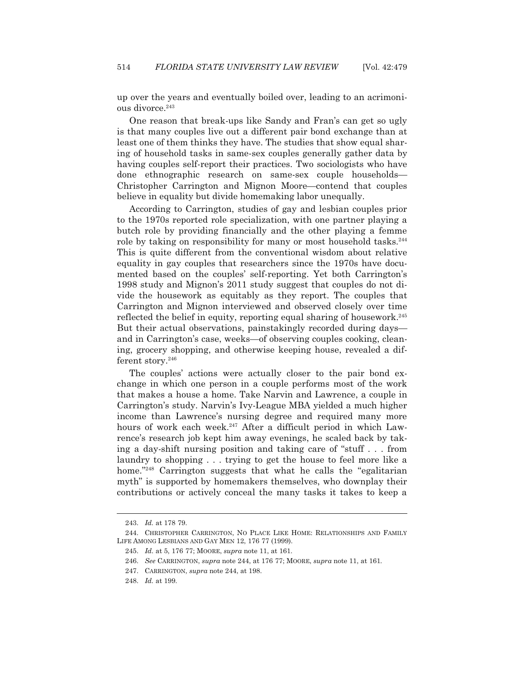up over the years and eventually boiled over, leading to an acrimonious divorce.<sup>243</sup>

 One reason that break-ups like Sandy and Fran's can get so ugly is that many couples live out a different pair bond exchange than at least one of them thinks they have. The studies that show equal sharing of household tasks in same-sex couples generally gather data by having couples self-report their practices. Two sociologists who have done ethnographic research on same-sex couple households— Christopher Carrington and Mignon Moore—contend that couples believe in equality but divide homemaking labor unequally.

 According to Carrington, studies of gay and lesbian couples prior to the 1970s reported role specialization, with one partner playing a butch role by providing financially and the other playing a femme role by taking on responsibility for many or most household tasks.<sup>244</sup> This is quite different from the conventional wisdom about relative equality in gay couples that researchers since the 1970s have documented based on the couples' self-reporting. Yet both Carrington's 1998 study and Mignon's 2011 study suggest that couples do not divide the housework as equitably as they report. The couples that Carrington and Mignon interviewed and observed closely over time reflected the belief in equity, reporting equal sharing of housework.245 But their actual observations, painstakingly recorded during days and in Carrington's case, weeks—of observing couples cooking, cleaning, grocery shopping, and otherwise keeping house, revealed a different story.<sup>246</sup>

 The couples' actions were actually closer to the pair bond exchange in which one person in a couple performs most of the work that makes a house a home. Take Narvin and Lawrence, a couple in Carrington's study. Narvin's Ivy-League MBA yielded a much higher income than Lawrence's nursing degree and required many more hours of work each week.<sup>247</sup> After a difficult period in which Lawrence's research job kept him away evenings, he scaled back by taking a day-shift nursing position and taking care of "stuff . . . from laundry to shopping . . . trying to get the house to feel more like a home."<sup>248</sup> Carrington suggests that what he calls the "egalitarian" myth" is supported by homemakers themselves, who downplay their contributions or actively conceal the many tasks it takes to keep a

 <sup>243.</sup> *Id.* at 178 79.

 <sup>244.</sup> CHRISTOPHER CARRINGTON, NO PLACE LIKE HOME: RELATIONSHIPS AND FAMILY LIFE AMONG LESBIANS AND GAY MEN 12, 176 77 (1999).

 <sup>245.</sup> *Id.* at 5, 176 77; MOORE, *supra* note 11, at 161.

 <sup>246.</sup> *See* CARRINGTON, *supra* note 244, at 176 77; MOORE, *supra* note 11, at 161*.*

 <sup>247.</sup> CARRINGTON, *supra* note 244, at 198.

 <sup>248.</sup> *Id.* at 199.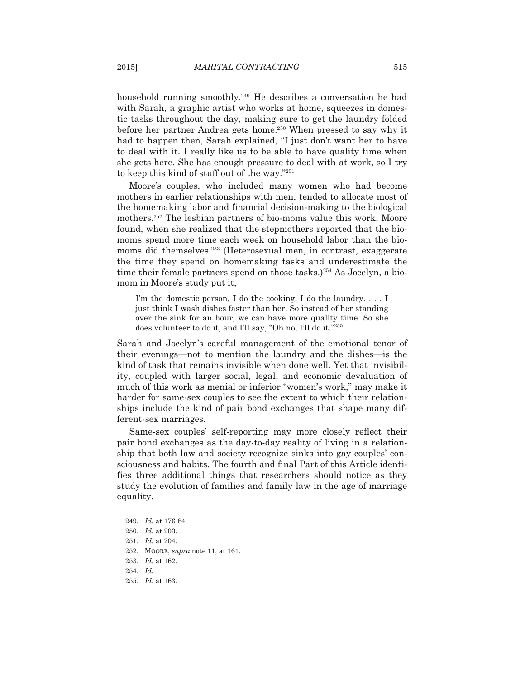household running smoothly.249 He describes a conversation he had with Sarah, a graphic artist who works at home, squeezes in domestic tasks throughout the day, making sure to get the laundry folded before her partner Andrea gets home.<sup>250</sup> When pressed to say why it had to happen then, Sarah explained, "I just don't want her to have to deal with it. I really like us to be able to have quality time when she gets here. She has enough pressure to deal with at work, so I try to keep this kind of stuff out of the way."251

 Moore's couples, who included many women who had become mothers in earlier relationships with men, tended to allocate most of the homemaking labor and financial decision-making to the biological mothers.252 The lesbian partners of bio-moms value this work, Moore found, when she realized that the stepmothers reported that the biomoms spend more time each week on household labor than the biomoms did themselves.253 (Heterosexual men, in contrast, exaggerate the time they spend on homemaking tasks and underestimate the time their female partners spend on those tasks.) $254$  As Jocelyn, a biomom in Moore's study put it,

I'm the domestic person, I do the cooking, I do the laundry.... I just think I wash dishes faster than her. So instead of her standing over the sink for an hour, we can have more quality time. So she does volunteer to do it, and I'll say, "Oh no, I'll do it."255

Sarah and Jocelyn's careful management of the emotional tenor of their evenings—not to mention the laundry and the dishes—is the kind of task that remains invisible when done well. Yet that invisibility, coupled with larger social, legal, and economic devaluation of much of this work as menial or inferior "women's work," may make it harder for same-sex couples to see the extent to which their relationships include the kind of pair bond exchanges that shape many different-sex marriages.

 Same-sex couples' self-reporting may more closely reflect their pair bond exchanges as the day-to-day reality of living in a relationship that both law and society recognize sinks into gay couples' consciousness and habits. The fourth and final Part of this Article identifies three additional things that researchers should notice as they study the evolution of families and family law in the age of marriage equality.

 <sup>249.</sup> *Id.* at 176 84.

 <sup>250.</sup> *Id.* at 203.

 <sup>251.</sup> *Id.* at 204.

 <sup>252.</sup> MOORE, *supra* note 11, at 161.

 <sup>253.</sup> *Id.* at 162.

 <sup>254.</sup> *Id.*

 <sup>255.</sup> *Id.* at 163.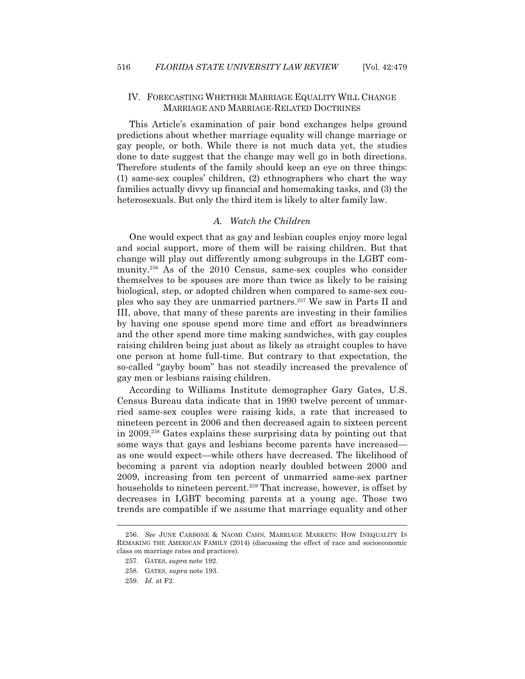# IV. FORECASTING WHETHER MARRIAGE EQUALITY WILL CHANGE MARRIAGE AND MARRIAGE-RELATED DOCTRINES

 This Article's examination of pair bond exchanges helps ground predictions about whether marriage equality will change marriage or gay people, or both. While there is not much data yet, the studies done to date suggest that the change may well go in both directions. Therefore students of the family should keep an eye on three things: (1) same-sex couples' children, (2) ethnographers who chart the way families actually divvy up financial and homemaking tasks, and (3) the heterosexuals. But only the third item is likely to alter family law.

# *A. Watch the Children*

 One would expect that as gay and lesbian couples enjoy more legal and social support, more of them will be raising children. But that change will play out differently among subgroups in the LGBT community.256 As of the 2010 Census, same-sex couples who consider themselves to be spouses are more than twice as likely to be raising biological, step, or adopted children when compared to same-sex couples who say they are unmarried partners.257 We saw in Parts II and III, above, that many of these parents are investing in their families by having one spouse spend more time and effort as breadwinners and the other spend more time making sandwiches, with gay couples raising children being just about as likely as straight couples to have one person at home full-time. But contrary to that expectation, the so-called "gayby boom" has not steadily increased the prevalence of gay men or lesbians raising children.

 According to Williams Institute demographer Gary Gates, U.S. Census Bureau data indicate that in 1990 twelve percent of unmarried same-sex couples were raising kids, a rate that increased to nineteen percent in 2006 and then decreased again to sixteen percent in 2009.258 Gates explains these surprising data by pointing out that some ways that gays and lesbians become parents have increased as one would expect—while others have decreased. The likelihood of becoming a parent via adoption nearly doubled between 2000 and 2009, increasing from ten percent of unmarried same-sex partner households to nineteen percent.<sup>259</sup> That increase, however, is offset by decreases in LGBT becoming parents at a young age. Those two trends are compatible if we assume that marriage equality and other

 <sup>256.</sup> *See* JUNE CARBONE & NAOMI CAHN, MARRIAGE MARKETS: HOW INEQUALITY IS REMAKING THE AMERICAN FAMILY (2014) (discussing the effect of race and socioeconomic class on marriage rates and practices).

 <sup>257.</sup> GATES, *supra* note 192.

 <sup>258.</sup> GATES, *supra* note 193.

 <sup>259.</sup> *Id.* at F2.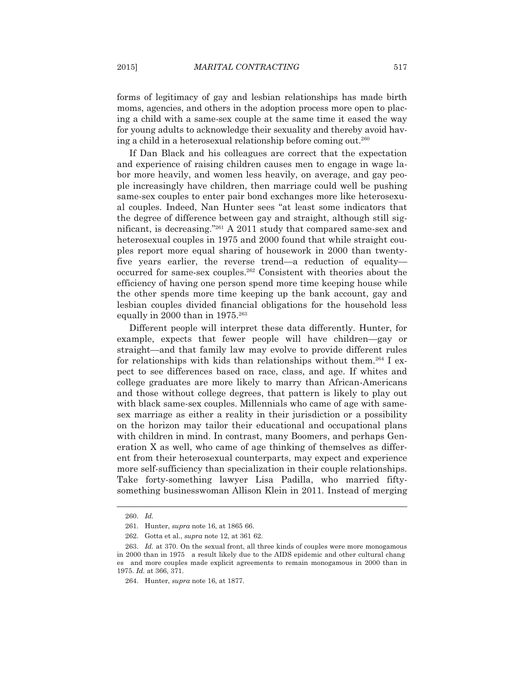forms of legitimacy of gay and lesbian relationships has made birth moms, agencies, and others in the adoption process more open to placing a child with a same-sex couple at the same time it eased the way for young adults to acknowledge their sexuality and thereby avoid having a child in a heterosexual relationship before coming out.260

 If Dan Black and his colleagues are correct that the expectation and experience of raising children causes men to engage in wage labor more heavily, and women less heavily, on average, and gay people increasingly have children, then marriage could well be pushing same-sex couples to enter pair bond exchanges more like heterosexual couples. Indeed, Nan Hunter sees "at least some indicators that the degree of difference between gay and straight, although still significant, is decreasing."261 A 2011 study that compared same-sex and heterosexual couples in 1975 and 2000 found that while straight couples report more equal sharing of housework in 2000 than twentyfive years earlier, the reverse trend—a reduction of equality occurred for same-sex couples.262 Consistent with theories about the efficiency of having one person spend more time keeping house while the other spends more time keeping up the bank account, gay and lesbian couples divided financial obligations for the household less equally in 2000 than in 1975.263

 Different people will interpret these data differently. Hunter, for example, expects that fewer people will have children—gay or straight—and that family law may evolve to provide different rules for relationships with kids than relationships without them.264 I expect to see differences based on race, class, and age. If whites and college graduates are more likely to marry than African-Americans and those without college degrees, that pattern is likely to play out with black same-sex couples. Millennials who came of age with samesex marriage as either a reality in their jurisdiction or a possibility on the horizon may tailor their educational and occupational plans with children in mind. In contrast, many Boomers, and perhaps Generation X as well, who came of age thinking of themselves as different from their heterosexual counterparts, may expect and experience more self-sufficiency than specialization in their couple relationships. Take forty-something lawyer Lisa Padilla, who married fiftysomething businesswoman Allison Klein in 2011. Instead of merging

 <sup>260.</sup> *Id.*

 <sup>261.</sup> Hunter, *supra* note 16, at 1865 66.

 <sup>262.</sup> Gotta et al., *supra* note 12, at 361 62.

 <sup>263.</sup> *Id.* at 370. On the sexual front, all three kinds of couples were more monogamous in 2000 than in 1975 a result likely due to the AIDS epidemic and other cultural chang es and more couples made explicit agreements to remain monogamous in 2000 than in 1975. *Id.* at 366, 371.

 <sup>264.</sup> Hunter, *supra* note 16, at 1877.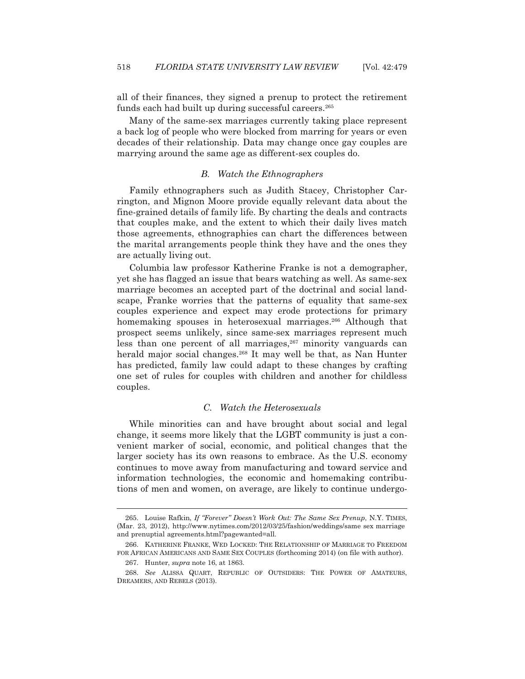all of their finances, they signed a prenup to protect the retirement funds each had built up during successful careers.<sup>265</sup>

 Many of the same-sex marriages currently taking place represent a back log of people who were blocked from marring for years or even decades of their relationship. Data may change once gay couples are marrying around the same age as different-sex couples do.

## *B. Watch the Ethnographers*

 Family ethnographers such as Judith Stacey, Christopher Carrington, and Mignon Moore provide equally relevant data about the fine-grained details of family life. By charting the deals and contracts that couples make, and the extent to which their daily lives match those agreements, ethnographies can chart the differences between the marital arrangements people think they have and the ones they are actually living out.

 Columbia law professor Katherine Franke is not a demographer, yet she has flagged an issue that bears watching as well. As same-sex marriage becomes an accepted part of the doctrinal and social landscape, Franke worries that the patterns of equality that same-sex couples experience and expect may erode protections for primary homemaking spouses in heterosexual marriages.<sup>266</sup> Although that prospect seems unlikely, since same-sex marriages represent much less than one percent of all marriages,<sup>267</sup> minority vanguards can herald major social changes.<sup>268</sup> It may well be that, as Nan Hunter has predicted, family law could adapt to these changes by crafting one set of rules for couples with children and another for childless couples.

#### *C. Watch the Heterosexuals*

 While minorities can and have brought about social and legal change, it seems more likely that the LGBT community is just a convenient marker of social, economic, and political changes that the larger society has its own reasons to embrace. As the U.S. economy continues to move away from manufacturing and toward service and information technologies, the economic and homemaking contributions of men and women, on average, are likely to continue undergo-

 <sup>265.</sup> Louise Rafkin, *If "Forever" Doesn't Work Out: The Same Sex Prenup*, N.Y. TIMES, (Mar. 23, 2012), http://www.nytimes.com/2012/03/25/fashion/weddings/same sex marriage and prenuptial agreements.html?pagewanted=all.

 <sup>266.</sup> KATHERINE FRANKE, WED LOCKED: THE RELATIONSHIP OF MARRIAGE TO FREEDOM FOR AFRICAN AMERICANS AND SAME SEX COUPLES (forthcoming 2014) (on file with author).

 <sup>267.</sup> Hunter, *supra* note 16, at 1863.

 <sup>268.</sup> *See* ALISSA QUART, REPUBLIC OF OUTSIDERS: THE POWER OF AMATEURS, DREAMERS, AND REBELS (2013).